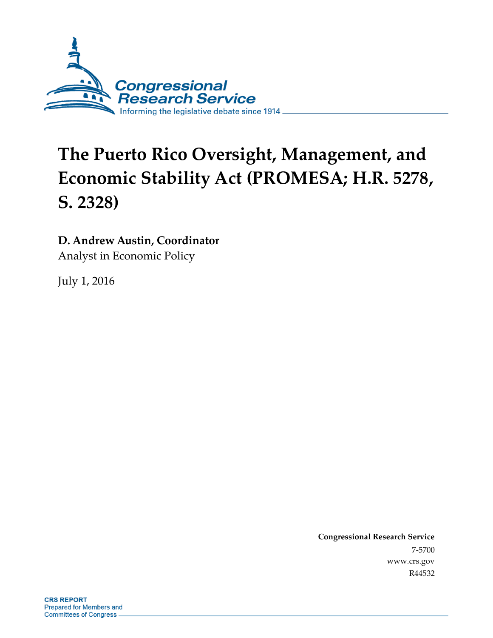

# **The Puerto Rico Oversight, Management, and Economic Stability Act (PROMESA; H.R. 5278, S. 2328)**

## **D. Andrew Austin, Coordinator**

Analyst in Economic Policy

July 1, 2016

**Congressional Research Service** 7-5700 www.crs.gov R44532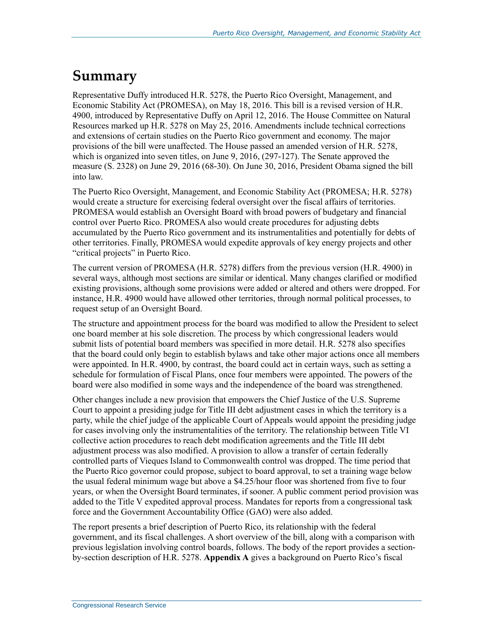## **Summary**

Representative Duffy introduced H.R. 5278, the Puerto Rico Oversight, Management, and Economic Stability Act (PROMESA), on May 18, 2016. This bill is a revised version of H.R. 4900, introduced by Representative Duffy on April 12, 2016. The House Committee on Natural Resources marked up H.R. 5278 on May 25, 2016. Amendments include technical corrections and extensions of certain studies on the Puerto Rico government and economy. The major provisions of the bill were unaffected. The House passed an amended version of H.R. 5278, which is organized into seven titles, on June 9, 2016, (297-127). The Senate approved the measure (S. 2328) on June 29, 2016 (68-30). On June 30, 2016, President Obama signed the bill into law.

The Puerto Rico Oversight, Management, and Economic Stability Act (PROMESA; H.R. 5278) would create a structure for exercising federal oversight over the fiscal affairs of territories. PROMESA would establish an Oversight Board with broad powers of budgetary and financial control over Puerto Rico. PROMESA also would create procedures for adjusting debts accumulated by the Puerto Rico government and its instrumentalities and potentially for debts of other territories. Finally, PROMESA would expedite approvals of key energy projects and other "critical projects" in Puerto Rico.

The current version of PROMESA (H.R. 5278) differs from the previous version (H.R. 4900) in several ways, although most sections are similar or identical. Many changes clarified or modified existing provisions, although some provisions were added or altered and others were dropped. For instance, H.R. 4900 would have allowed other territories, through normal political processes, to request setup of an Oversight Board.

The structure and appointment process for the board was modified to allow the President to select one board member at his sole discretion. The process by which congressional leaders would submit lists of potential board members was specified in more detail. H.R. 5278 also specifies that the board could only begin to establish bylaws and take other major actions once all members were appointed. In H.R. 4900, by contrast, the board could act in certain ways, such as setting a schedule for formulation of Fiscal Plans, once four members were appointed. The powers of the board were also modified in some ways and the independence of the board was strengthened.

Other changes include a new provision that empowers the Chief Justice of the U.S. Supreme Court to appoint a presiding judge for Title III debt adjustment cases in which the territory is a party, while the chief judge of the applicable Court of Appeals would appoint the presiding judge for cases involving only the instrumentalities of the territory. The relationship between Title VI collective action procedures to reach debt modification agreements and the Title III debt adjustment process was also modified. A provision to allow a transfer of certain federally controlled parts of Vieques Island to Commonwealth control was dropped. The time period that the Puerto Rico governor could propose, subject to board approval, to set a training wage below the usual federal minimum wage but above a \$4.25/hour floor was shortened from five to four years, or when the Oversight Board terminates, if sooner. A public comment period provision was added to the Title V expedited approval process. Mandates for reports from a congressional task force and the Government Accountability Office (GAO) were also added.

The report presents a brief description of Puerto Rico, its relationship with the federal government, and its fiscal challenges. A short overview of the bill, along with a comparison with previous legislation involving control boards, follows. The body of the report provides a sectionby-section description of H.R. 5278. **[Appendix A](#page-32-0)** gives a background on Puerto Rico's fiscal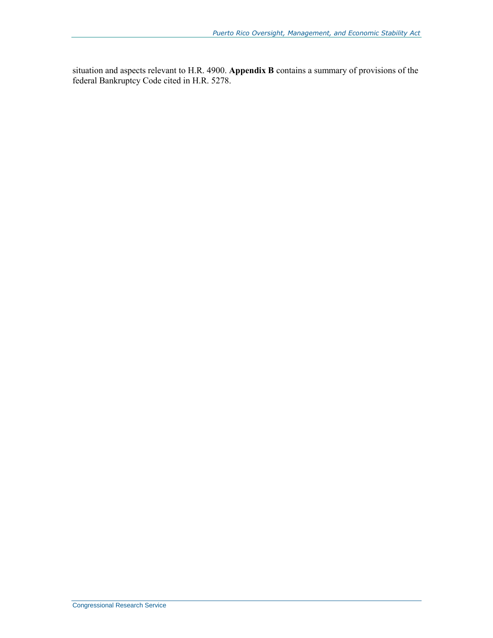situation and aspects relevant to H.R. 4900. **[Appendix B](#page-40-0)** contains a summary of provisions of the federal Bankruptcy Code cited in H.R. 5278.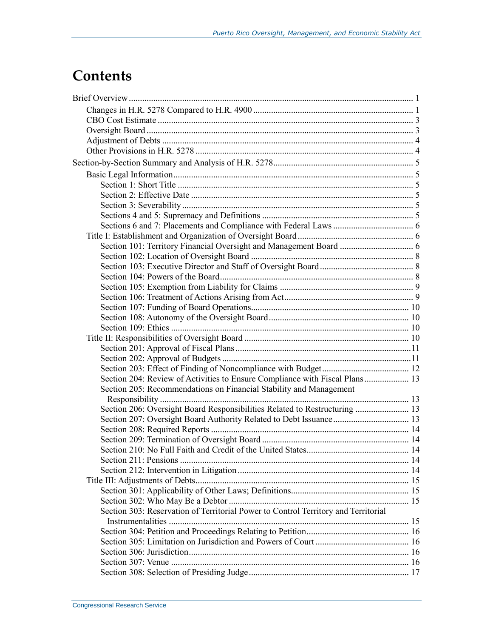## **Contents**

| Section 204: Review of Activities to Ensure Compliance with Fiscal Plans 13        |  |
|------------------------------------------------------------------------------------|--|
| Section 205: Recommendations on Financial Stability and Management                 |  |
|                                                                                    |  |
| Section 206: Oversight Board Responsibilities Related to Restructuring  13         |  |
|                                                                                    |  |
|                                                                                    |  |
|                                                                                    |  |
|                                                                                    |  |
|                                                                                    |  |
|                                                                                    |  |
|                                                                                    |  |
|                                                                                    |  |
|                                                                                    |  |
| Section 303: Reservation of Territorial Power to Control Territory and Territorial |  |
|                                                                                    |  |
|                                                                                    |  |
|                                                                                    |  |
|                                                                                    |  |
|                                                                                    |  |
|                                                                                    |  |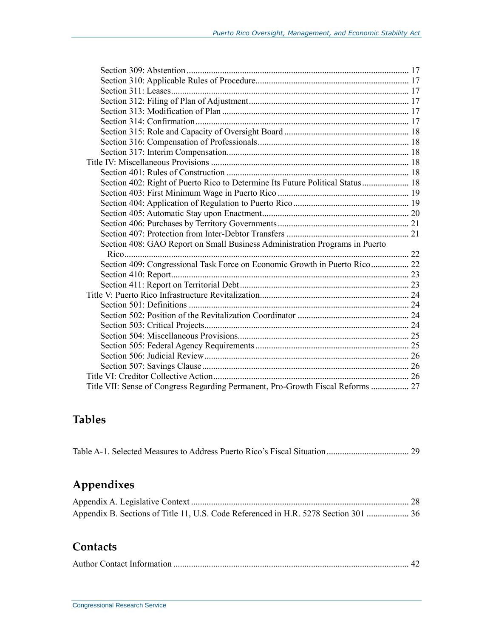| Section 402: Right of Puerto Rico to Determine Its Future Political Status 18   |  |
|---------------------------------------------------------------------------------|--|
|                                                                                 |  |
|                                                                                 |  |
|                                                                                 |  |
|                                                                                 |  |
|                                                                                 |  |
| Section 408: GAO Report on Small Business Administration Programs in Puerto     |  |
|                                                                                 |  |
| Section 409: Congressional Task Force on Economic Growth in Puerto Rico 22      |  |
|                                                                                 |  |
|                                                                                 |  |
|                                                                                 |  |
|                                                                                 |  |
|                                                                                 |  |
|                                                                                 |  |
|                                                                                 |  |
|                                                                                 |  |
|                                                                                 |  |
|                                                                                 |  |
|                                                                                 |  |
| Title VII: Sense of Congress Regarding Permanent, Pro-Growth Fiscal Reforms  27 |  |

## **Tables**

|--|--|--|--|

## **Appendixes**

| Appendix B. Sections of Title 11, U.S. Code Referenced in H.R. 5278 Section 301  36 |  |
|-------------------------------------------------------------------------------------|--|

## **Contacts**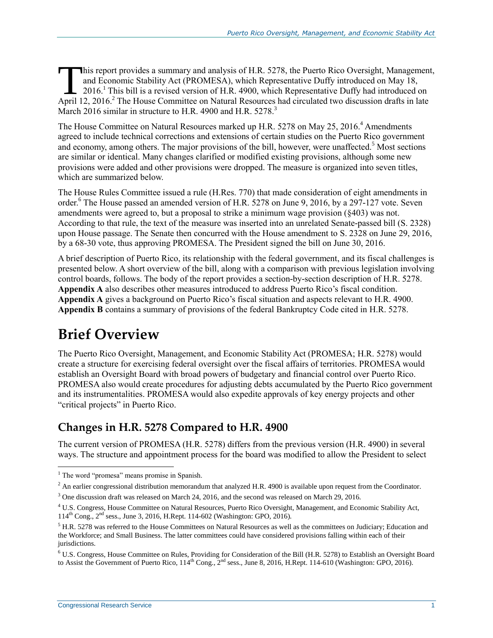his report provides a summary and analysis of H.R. 5278, the Puerto Rico Oversight, Management, and Economic Stability Act (PROMESA), which Representative Duffy introduced on May 18, 2016.<sup>1</sup> This bill is a revised version of [H.R. 4900,](http://www.congress.gov/cgi-lis/bdquery/z?d114:H.R.4900:) which Representative Duffy had introduced on This report provides a summary and analysis of H.R. 5278, the Puerto Rico Oversight, Management and Economic Stability Act (PROMESA), which Representative Duffy introduced on May 18, 2016.<sup>1</sup> This bill is a revised version March 2016 similar in structure to H.R. 4900 and [H.R. 5278.](http://www.congress.gov/cgi-lis/bdquery/z?d114:H.R.5278:)<sup>3</sup>

The House Committee on Natural Resources marked up H.R. 5278 on May 25, 2016.<sup>4</sup> Amendments agreed to include technical corrections and extensions of certain studies on the Puerto Rico government and economy, among others. The major provisions of the bill, however, were unaffected.<sup>5</sup> Most sections are similar or identical. Many changes clarified or modified existing provisions, although some new provisions were added and other provisions were dropped. The measure is organized into seven titles, which are summarized below.

The House Rules Committee issued a rule [\(H.Res. 770\)](http://www.congress.gov/cgi-lis/bdquery/z?d114:H.Res.770:) that made consideration of eight amendments in order.<sup>6</sup> The House passed an amended version of H.R. 5278 on June 9, 2016, by a 297-127 vote. Seven amendments were agreed to, but a proposal to strike a minimum wage provision (§403) was not. According to that rule, the text of the measure was inserted into an unrelated Senate-passed bill [\(S. 2328\)](http://www.congress.gov/cgi-lis/bdquery/z?d114:S.2328:) upon House passage. The Senate then concurred with the House amendment to S. 2328 on June 29, 2016, by a 68-30 vote, thus approving PROMESA. The President signed the bill on June 30, 2016.

A brief description of Puerto Rico, its relationship with the federal government, and its fiscal challenges is presented below. A short overview of the bill, along with a comparison with previous legislation involving control boards, follows. The body of the report provides a section-by-section description of [H.R. 5278.](http://www.congress.gov/cgi-lis/bdquery/z?d114:H.R.5278:) **[Appendix A](#page-32-0)** also describes other measures introduced to address Puerto Rico's fiscal condition. **[Appendix A](#page-32-0)** gives a background on Puerto Rico's fiscal situation and aspects relevant to H.R. 4900. **[Appendix B](#page-40-0)** contains a summary of provisions of the federal Bankruptcy Code cited in [H.R. 5278.](http://www.congress.gov/cgi-lis/bdquery/z?d114:H.R.5278:)

## **Brief Overview**

The Puerto Rico Oversight, Management, and Economic Stability Act (PROMESA; H.R. 5278) would create a structure for exercising federal oversight over the fiscal affairs of territories. PROMESA would establish an Oversight Board with broad powers of budgetary and financial control over Puerto Rico. PROMESA also would create procedures for adjusting debts accumulated by the Puerto Rico government and its instrumentalities. PROMESA would also expedite approvals of key energy projects and other "critical projects" in Puerto Rico.

## **Changes in [H.R. 5278](http://www.congress.gov/cgi-lis/bdquery/z?d114:H.R.5278:) Compared to H.R. 4900**

The current version of PROMESA [\(H.R. 5278\)](http://www.congress.gov/cgi-lis/bdquery/z?d114:H.R.5278:) differs from the previous version (H.R. 4900) in several ways. The structure and appointment process for the board was modified to allow the President to select

<sup>&</sup>lt;sup>1</sup> The word "promesa" means promise in Spanish.

 $2$  An earlier congressional distribution memorandum that analyzed H.R. 4900 is available upon request from the Coordinator.

<sup>3</sup> One discussion draft was released on March 24, 2016, and the second was released on March 29, 2016.

<sup>4</sup> U.S. Congress, House Committee on Natural Resources, Puerto Rico Oversight, Management, and Economic Stability Act, 114th Cong., 2nd sess., June 3, 2016, H.Rept. 114-602 (Washington: GPO, 2016).

<sup>&</sup>lt;sup>5</sup> H.R. 5278 was referred to the House Committees on Natural Resources as well as the committees on Judiciary; Education and the Workforce; and Small Business. The latter committees could have considered provisions falling within each of their jurisdictions.

<sup>6</sup> U.S. Congress, House Committee on Rules, Providing for Consideration of the Bill (H.R. 5278) to Establish an Oversight Board to Assist the Government of Puerto Rico,  $114^{th}$  Cong.,  $2^{nd}$  sess., June 8, 2016, H.Rept. 114-610 (Washington: GPO, 2016).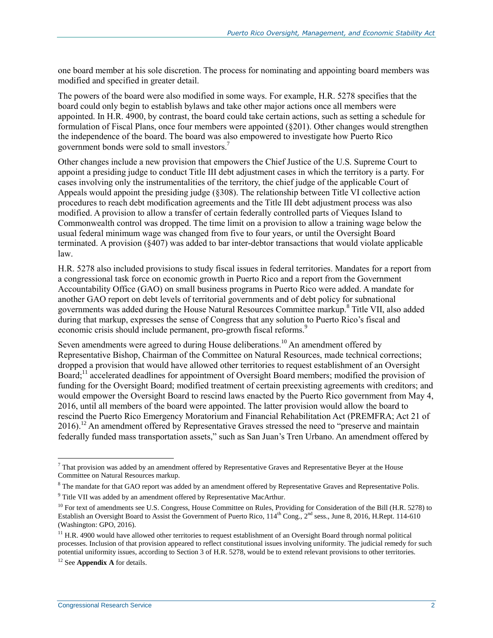one board member at his sole discretion. The process for nominating and appointing board members was modified and specified in greater detail.

The powers of the board were also modified in some ways. For example, [H.R. 5278](http://www.congress.gov/cgi-lis/bdquery/z?d114:H.R.5278:) specifies that the board could only begin to establish bylaws and take other major actions once all members were appointed. In H.R. 4900, by contrast, the board could take certain actions, such as setting a schedule for formulation of Fiscal Plans, once four members were appointed (§201). Other changes would strengthen the independence of the board. The board was also empowered to investigate how Puerto Rico government bonds were sold to small investors.<sup>7</sup>

Other changes include a new provision that empowers the Chief Justice of the U.S. Supreme Court to appoint a presiding judge to conduct Title III debt adjustment cases in which the territory is a party. For cases involving only the instrumentalities of the territory, the chief judge of the applicable Court of Appeals would appoint the presiding judge (§308). The relationship between Title VI collective action procedures to reach debt modification agreements and the Title III debt adjustment process was also modified. A provision to allow a transfer of certain federally controlled parts of Vieques Island to Commonwealth control was dropped. The time limit on a provision to allow a training wage below the usual federal minimum wage was changed from five to four years, or until the Oversight Board terminated. A provision (§407) was added to bar inter-debtor transactions that would violate applicable law.

[H.R. 5278](http://www.congress.gov/cgi-lis/bdquery/z?d114:H.R.5278:) also included provisions to study fiscal issues in federal territories. Mandates for a report from a congressional task force on economic growth in Puerto Rico and a report from the Government Accountability Office (GAO) on small business programs in Puerto Rico were added. A mandate for another GAO report on debt levels of territorial governments and of debt policy for subnational governments was added during the House Natural Resources Committee markup.<sup>8</sup> Title VII, also added during that markup, expresses the sense of Congress that any solution to Puerto Rico's fiscal and economic crisis should include permanent, pro-growth fiscal reforms.<sup>9</sup>

Seven amendments were agreed to during House deliberations.<sup>10</sup> An amendment offered by Representative Bishop, Chairman of the Committee on Natural Resources, made technical corrections; dropped a provision that would have allowed other territories to request establishment of an Oversight Board;<sup>11</sup> accelerated deadlines for appointment of Oversight Board members; modified the provision of funding for the Oversight Board; modified treatment of certain preexisting agreements with creditors; and would empower the Oversight Board to rescind laws enacted by the Puerto Rico government from May 4, 2016, until all members of the board were appointed. The latter provision would allow the board to rescind the Puerto Rico Emergency Moratorium and Financial Rehabilitation Act (PREMFRA; Act 21 of  $2016$ .<sup>12</sup> An amendment offered by Representative Graves stressed the need to "preserve and maintain federally funded mass transportation assets," such as San Juan's Tren Urbano. An amendment offered by

 $<sup>7</sup>$  That provision was added by an amendment offered by Representative Graves and Representative Beyer at the House</sup> Committee on Natural Resources markup.

<sup>&</sup>lt;sup>8</sup> The mandate for that GAO report was added by an amendment offered by Representative Graves and Representative Polis.

<sup>&</sup>lt;sup>9</sup> Title VII was added by an amendment offered by Representative MacArthur.

<sup>&</sup>lt;sup>10</sup> For text of amendments see U.S. Congress, House Committee on Rules, Providing for Consideration of the Bill (H.R. 5278) to Establish an Oversight Board to Assist the Government of Puerto Rico, 114<sup>th</sup> Cong., 2<sup>nd</sup> sess., June 8, 2016, H.Rept. 114-610 (Washington: GPO, 2016).

 $11$  H.R. 4900 would have allowed other territories to request establishment of an Oversight Board through normal political processes. Inclusion of that provision appeared to reflect constitutional issues involving uniformity. The judicial remedy for such potential uniformity issues, according to Section 3 of H.R. 5278, would be to extend relevant provisions to other territories.

<sup>&</sup>lt;sup>12</sup> See **[Appendix A](#page-32-0)** for details.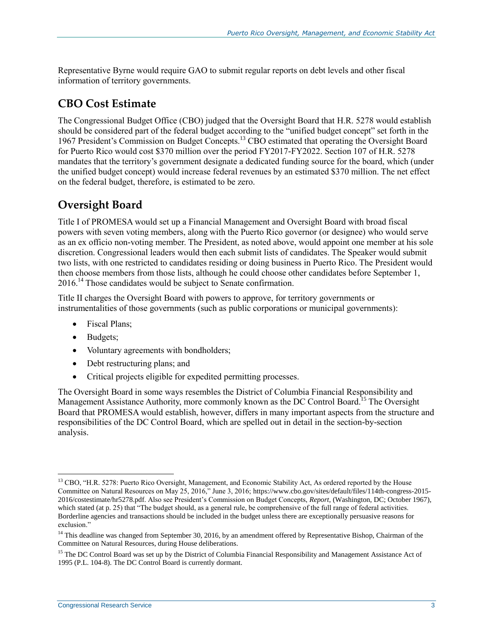Representative Byrne would require GAO to submit regular reports on debt levels and other fiscal information of territory governments.

## **CBO Cost Estimate**

The Congressional Budget Office (CBO) judged that the Oversight Board that H.R. 5278 would establish should be considered part of the federal budget according to the "unified budget concept" set forth in the 1967 President's Commission on Budget Concepts.<sup>13</sup> CBO estimated that operating the Oversight Board for Puerto Rico would cost \$370 million over the period FY2017-FY2022. Section 107 of [H.R. 5278](http://www.congress.gov/cgi-lis/bdquery/z?d114:H.R.5278:) mandates that the territory's government designate a dedicated funding source for the board, which (under the unified budget concept) would increase federal revenues by an estimated \$370 million. The net effect on the federal budget, therefore, is estimated to be zero.

## **Oversight Board**

Title I of PROMESA would set up a Financial Management and Oversight Board with broad fiscal powers with seven voting members, along with the Puerto Rico governor (or designee) who would serve as an ex officio non-voting member. The President, as noted above, would appoint one member at his sole discretion. Congressional leaders would then each submit lists of candidates. The Speaker would submit two lists, with one restricted to candidates residing or doing business in Puerto Rico. The President would then choose members from those lists, although he could choose other candidates before September 1, 2016.<sup>14</sup> Those candidates would be subject to Senate confirmation.

Title II charges the Oversight Board with powers to approve, for territory governments or instrumentalities of those governments (such as public corporations or municipal governments):

- Fiscal Plans;
- Budgets;
- Voluntary agreements with bondholders;
- Debt restructuring plans; and
- Critical projects eligible for expedited permitting processes.

The Oversight Board in some ways resembles the District of Columbia Financial Responsibility and Management Assistance Authority, more commonly known as the DC Control Board.<sup>15</sup> The Oversight Board that PROMESA would establish, however, differs in many important aspects from the structure and responsibilities of the DC Control Board, which are spelled out in detail in the section-by-section analysis.

 $\overline{a}$ <sup>13</sup> CBO, "H.R. 5278: Puerto Rico Oversight, Management, and Economic Stability Act, As ordered reported by the House Committee on Natural Resources on May 25, 2016," June 3, 2016; https://www.cbo.gov/sites/default/files/114th-congress-2015- 2016/costestimate/hr5278.pdf. Also see President's Commission on Budget Concepts, *Report*, (Washington, DC; October 1967), which stated (at p. 25) that "The budget should, as a general rule, be comprehensive of the full range of federal activities. Borderline agencies and transactions should be included in the budget unless there are exceptionally persuasive reasons for exclusion."

<sup>&</sup>lt;sup>14</sup> This deadline was changed from September 30, 2016, by an amendment offered by Representative Bishop, Chairman of the Committee on Natural Resources, during House deliberations.

<sup>&</sup>lt;sup>15</sup> The DC Control Board was set up by the District of Columbia Financial Responsibility and Management Assistance Act of 1995 (P.L. 104-8). The DC Control Board is currently dormant.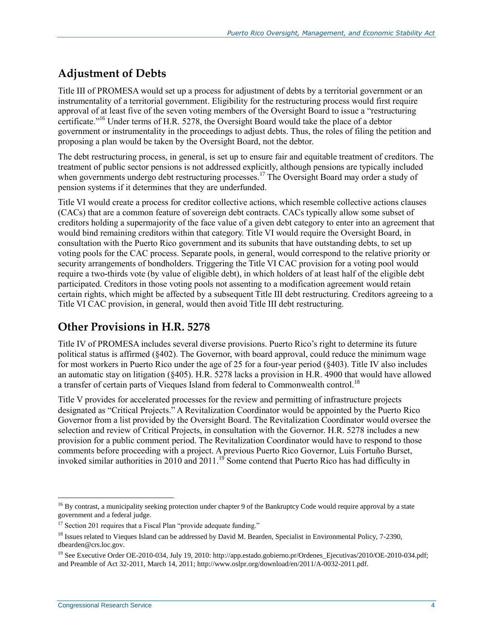## **Adjustment of Debts**

Title III of PROMESA would set up a process for adjustment of debts by a territorial government or an instrumentality of a territorial government. Eligibility for the restructuring process would first require approval of at least five of the seven voting members of the Oversight Board to issue a "restructuring certificate." <sup>16</sup> Under terms of H.R. 5278, the Oversight Board would take the place of a debtor government or instrumentality in the proceedings to adjust debts. Thus, the roles of filing the petition and proposing a plan would be taken by the Oversight Board, not the debtor.

The debt restructuring process, in general, is set up to ensure fair and equitable treatment of creditors. The treatment of public sector pensions is not addressed explicitly, although pensions are typically included when governments undergo debt restructuring processes.<sup>17</sup> The Oversight Board may order a study of pension systems if it determines that they are underfunded.

Title VI would create a process for creditor collective actions, which resemble collective actions clauses (CACs) that are a common feature of sovereign debt contracts. CACs typically allow some subset of creditors holding a supermajority of the face value of a given debt category to enter into an agreement that would bind remaining creditors within that category. Title VI would require the Oversight Board, in consultation with the Puerto Rico government and its subunits that have outstanding debts, to set up voting pools for the CAC process. Separate pools, in general, would correspond to the relative priority or security arrangements of bondholders. Triggering the Title VI CAC provision for a voting pool would require a two-thirds vote (by value of eligible debt), in which holders of at least half of the eligible debt participated. Creditors in those voting pools not assenting to a modification agreement would retain certain rights, which might be affected by a subsequent Title III debt restructuring. Creditors agreeing to a Title VI CAC provision, in general, would then avoid Title III debt restructuring.

## **Other Provisions in [H.R. 5278](http://www.congress.gov/cgi-lis/bdquery/z?d114:H.R.5278:)**

Title IV of PROMESA includes several diverse provisions. Puerto Rico's right to determine its future political status is affirmed (§402). The Governor, with board approval, could reduce the minimum wage for most workers in Puerto Rico under the age of 25 for a four-year period (§403). Title IV also includes an automatic stay on litigation (§405). H.R. 5278 lacks a provision in [H.R. 4900](http://www.congress.gov/cgi-lis/bdquery/z?d114:H.R.4900:) that would have allowed a transfer of certain parts of Vieques Island from federal to Commonwealth control.<sup>18</sup>

Title V provides for accelerated processes for the review and permitting of infrastructure projects designated as "Critical Projects." A Revitalization Coordinator would be appointed by the Puerto Rico Governor from a list provided by the Oversight Board. The Revitalization Coordinator would oversee the selection and review of Critical Projects, in consultation with the Governor. H.R. 5278 includes a new provision for a public comment period. The Revitalization Coordinator would have to respond to those comments before proceeding with a project. A previous Puerto Rico Governor, Luis Fortuño Burset, invoked similar authorities in 2010 and 2011.<sup>19</sup> Some contend that Puerto Rico has had difficulty in

<sup>&</sup>lt;sup>16</sup> By contrast, a municipality seeking protection under chapter 9 of the Bankruptcy Code would require approval by a state government and a federal judge.

<sup>&</sup>lt;sup>17</sup> Section 201 requires that a Fiscal Plan "provide adequate funding."

<sup>&</sup>lt;sup>18</sup> Issues related to Vieques Island can be addressed by David M. Bearden, Specialist in Environmental Policy, 7-2390, dbearden@crs.loc.gov.

<sup>&</sup>lt;sup>19</sup> See Executive Order OE-2010-034, July 19, 2010: http://app.estado.gobierno.pr/Ordenes\_Ejecutivas/2010/OE-2010-034.pdf; and Preamble of Act 32-2011, March 14, 2011; http://www.oslpr.org/download/en/2011/A-0032-2011.pdf.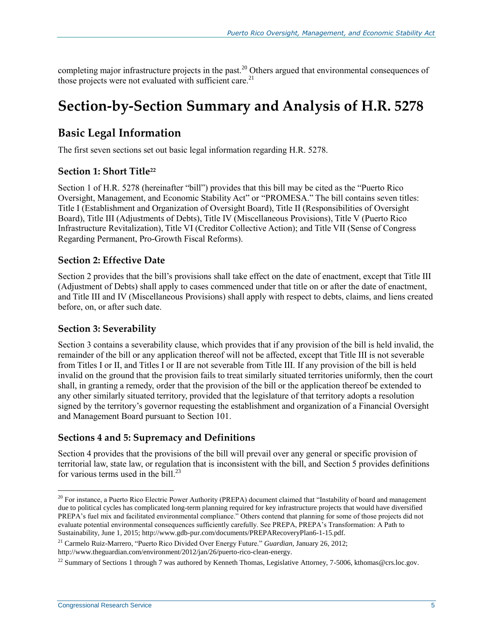completing major infrastructure projects in the past.<sup>20</sup> Others argued that environmental consequences of those projects were not evaluated with sufficient care.<sup>21</sup>

## **Section-by-Section Summary and Analysis of [H.R. 5278](http://www.congress.gov/cgi-lis/bdquery/z?d114:H.R.5278:)**

## **Basic Legal Information**

The first seven sections set out basic legal information regarding H.R. 5278.

#### **Section 1: Short Title<sup>22</sup>**

Section 1 of [H.R. 5278](http://www.congress.gov/cgi-lis/bdquery/z?d114:H.R.5278:) (hereinafter "bill") provides that this bill may be cited as the "Puerto Rico Oversight, Management, and Economic Stability Act" or "PROMESA." The bill contains seven titles: Title I (Establishment and Organization of Oversight Board), Title II (Responsibilities of Oversight Board), Title III (Adjustments of Debts), Title IV (Miscellaneous Provisions), Title V (Puerto Rico Infrastructure Revitalization), Title VI (Creditor Collective Action); and Title VII (Sense of Congress Regarding Permanent, Pro-Growth Fiscal Reforms).

#### **Section 2: Effective Date**

Section 2 provides that the bill's provisions shall take effect on the date of enactment, except that Title III (Adjustment of Debts) shall apply to cases commenced under that title on or after the date of enactment, and Title III and IV (Miscellaneous Provisions) shall apply with respect to debts, claims, and liens created before, on, or after such date.

#### **Section 3: Severability**

Section 3 contains a severability clause, which provides that if any provision of the bill is held invalid, the remainder of the bill or any application thereof will not be affected, except that Title III is not severable from Titles I or II, and Titles I or II are not severable from Title III. If any provision of the bill is held invalid on the ground that the provision fails to treat similarly situated territories uniformly, then the court shall, in granting a remedy, order that the provision of the bill or the application thereof be extended to any other similarly situated territory, provided that the legislature of that territory adopts a resolution signed by the territory's governor requesting the establishment and organization of a Financial Oversight and Management Board pursuant to Section 101.

#### **Sections 4 and 5: Supremacy and Definitions**

Section 4 provides that the provisions of the bill will prevail over any general or specific provision of territorial law, state law, or regulation that is inconsistent with the bill, and Section 5 provides definitions for various terms used in the bill. $^{23}$ 

<sup>&</sup>lt;sup>20</sup> For instance, a Puerto Rico Electric Power Authority (PREPA) document claimed that "Instability of board and management due to political cycles has complicated long-term planning required for key infrastructure projects that would have diversified PREPA's fuel mix and facilitated environmental compliance." Others contend that planning for some of those projects did not evaluate potential environmental consequences sufficiently carefully. See PREPA, PREPA's Transformation: A Path to Sustainability, June 1, 2015; http://www.gdb-pur.com/documents/PREPARecoveryPlan6-1-15.pdf.

<sup>21</sup> Carmelo Ruiz-Marrero, "Puerto Rico Divided Over Energy Future." *Guardian*, January 26, 2012; http://www.theguardian.com/environment/2012/jan/26/puerto-rico-clean-energy.

<sup>&</sup>lt;sup>22</sup> Summary of Sections 1 through 7 was authored by Kenneth Thomas, Legislative Attorney, 7-5006, kthomas@crs.loc.gov.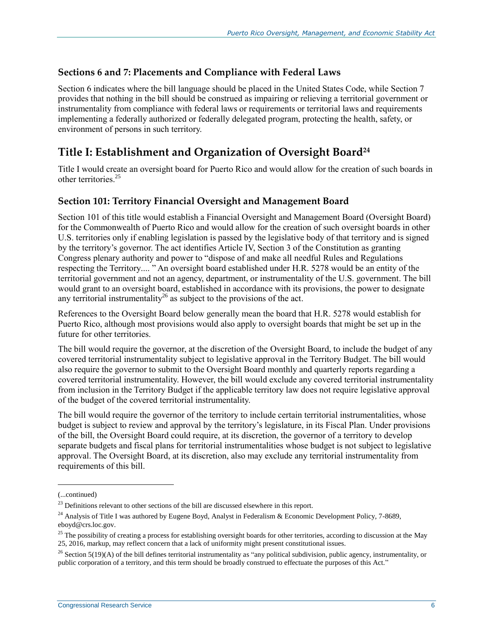#### **Sections 6 and 7: Placements and Compliance with Federal Laws**

Section 6 indicates where the bill language should be placed in the United States Code, while Section 7 provides that nothing in the bill should be construed as impairing or relieving a territorial government or instrumentality from compliance with federal laws or requirements or territorial laws and requirements implementing a federally authorized or federally delegated program, protecting the health, safety, or environment of persons in such territory.

## **Title I: Establishment and Organization of Oversight Board<sup>24</sup>**

Title I would create an oversight board for Puerto Rico and would allow for the creation of such boards in other territories<sup>25</sup>

#### **Section 101: Territory Financial Oversight and Management Board**

Section 101 of this title would establish a Financial Oversight and Management Board (Oversight Board) for the Commonwealth of Puerto Rico and would allow for the creation of such oversight boards in other U.S. territories only if enabling legislation is passed by the legislative body of that territory and is signed by the territory's governor. The act identifies Article IV, Section 3 of the Constitution as granting Congress plenary authority and power to "dispose of and make all needful Rules and Regulations respecting the Territory.... " An oversight board established under H.R. 5278 would be an entity of the territorial government and not an agency, department, or instrumentality of the U.S. government. The bill would grant to an oversight board, established in accordance with its provisions, the power to designate any territorial instrumentality<sup>26</sup> as subject to the provisions of the act.

References to the Oversight Board below generally mean the board that [H.R. 5278](http://www.congress.gov/cgi-lis/bdquery/z?d114:H.R.5278:) would establish for Puerto Rico, although most provisions would also apply to oversight boards that might be set up in the future for other territories.

The bill would require the governor, at the discretion of the Oversight Board, to include the budget of any covered territorial instrumentality subject to legislative approval in the Territory Budget. The bill would also require the governor to submit to the Oversight Board monthly and quarterly reports regarding a covered territorial instrumentality. However, the bill would exclude any covered territorial instrumentality from inclusion in the Territory Budget if the applicable territory law does not require legislative approval of the budget of the covered territorial instrumentality.

The bill would require the governor of the territory to include certain territorial instrumentalities, whose budget is subject to review and approval by the territory's legislature, in its Fiscal Plan. Under provisions of the bill, the Oversight Board could require, at its discretion, the governor of a territory to develop separate budgets and fiscal plans for territorial instrumentalities whose budget is not subject to legislative approval. The Oversight Board, at its discretion, also may exclude any territorial instrumentality from requirements of this bill.

l

<sup>(...</sup>continued)

<sup>&</sup>lt;sup>23</sup> Definitions relevant to other sections of the bill are discussed elsewhere in this report.

<sup>&</sup>lt;sup>24</sup> Analysis of Title I was authored by Eugene Boyd, Analyst in Federalism & Economic Development Policy, 7-8689, eboyd@crs.loc.gov.

<sup>&</sup>lt;sup>25</sup> The possibility of creating a process for establishing oversight boards for other territories, according to discussion at the May 25, 2016, markup, may reflect concern that a lack of uniformity might present constitutional issues.

 $26$  Section 5(19)(A) of the bill defines territorial instrumentality as "any political subdivision, public agency, instrumentality, or public corporation of a territory, and this term should be broadly construed to effectuate the purposes of this Act."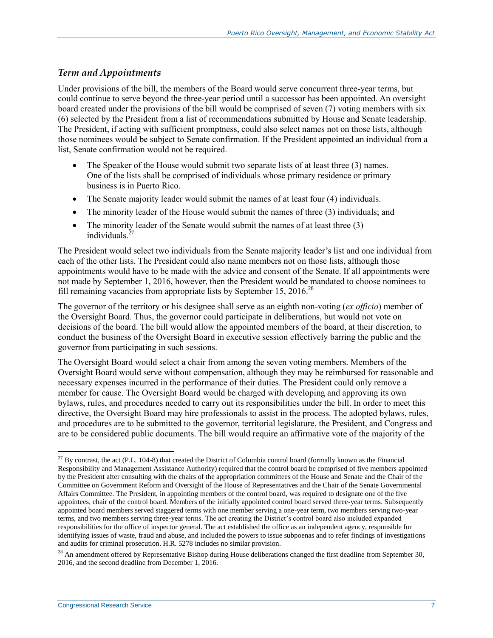#### *Term and Appointments*

Under provisions of the bill, the members of the Board would serve concurrent three-year terms, but could continue to serve beyond the three-year period until a successor has been appointed. An oversight board created under the provisions of the bill would be comprised of seven (7) voting members with six (6) selected by the President from a list of recommendations submitted by House and Senate leadership. The President, if acting with sufficient promptness, could also select names not on those lists, although those nominees would be subject to Senate confirmation. If the President appointed an individual from a list, Senate confirmation would not be required.

- The Speaker of the House would submit two separate lists of at least three (3) names. One of the lists shall be comprised of individuals whose primary residence or primary business is in Puerto Rico.
- The Senate majority leader would submit the names of at least four (4) individuals.
- The minority leader of the House would submit the names of three (3) individuals; and
- The minority leader of the Senate would submit the names of at least three (3) individuals.<sup>27</sup>

The President would select two individuals from the Senate majority leader's list and one individual from each of the other lists. The President could also name members not on those lists, although those appointments would have to be made with the advice and consent of the Senate. If all appointments were not made by September 1, 2016, however, then the President would be mandated to choose nominees to fill remaining vacancies from appropriate lists by September 15, 2016.<sup>28</sup>

The governor of the territory or his designee shall serve as an eighth non-voting (*ex officio*) member of the Oversight Board. Thus, the governor could participate in deliberations, but would not vote on decisions of the board. The bill would allow the appointed members of the board, at their discretion, to conduct the business of the Oversight Board in executive session effectively barring the public and the governor from participating in such sessions.

The Oversight Board would select a chair from among the seven voting members. Members of the Oversight Board would serve without compensation, although they may be reimbursed for reasonable and necessary expenses incurred in the performance of their duties. The President could only remove a member for cause. The Oversight Board would be charged with developing and approving its own bylaws, rules, and procedures needed to carry out its responsibilities under the bill. In order to meet this directive, the Oversight Board may hire professionals to assist in the process. The adopted bylaws, rules, and procedures are to be submitted to the governor, territorial legislature, the President, and Congress and are to be considered public documents. The bill would require an affirmative vote of the majority of the

 $^{27}$  By contrast, the act (P.L. 104-8) that created the District of Columbia control board (formally known as the Financial Responsibility and Management Assistance Authority) required that the control board be comprised of five members appointed by the President after consulting with the chairs of the appropriation committees of the House and Senate and the Chair of the Committee on Government Reform and Oversight of the House of Representatives and the Chair of the Senate Governmental Affairs Committee. The President, in appointing members of the control board, was required to designate one of the five appointees, chair of the control board. Members of the initially appointed control board served three-year terms. Subsequently appointed board members served staggered terms with one member serving a one-year term, two members serving two-year terms, and two members serving three-year terms. The act creating the District's control board also included expanded responsibilities for the office of inspector general. The act established the office as an independent agency, responsible for identifying issues of waste, fraud and abuse, and included the powers to issue subpoenas and to refer findings of investigations and audits for criminal prosecution. H.R. 5278 includes no similar provision.

<sup>&</sup>lt;sup>28</sup> An amendment offered by Representative Bishop during House deliberations changed the first deadline from September 30, 2016, and the second deadline from December 1, 2016.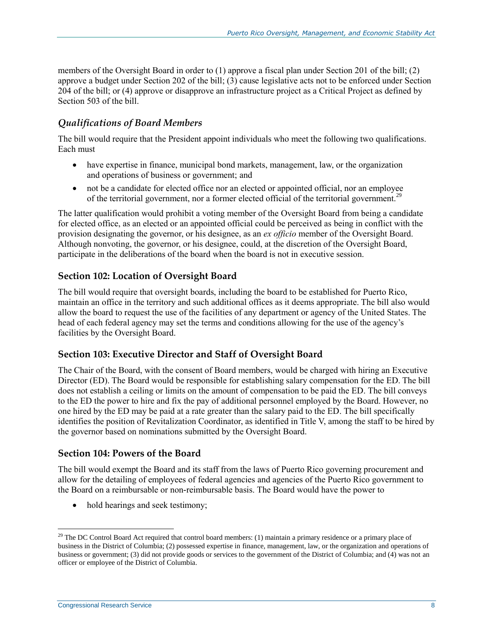members of the Oversight Board in order to (1) approve a fiscal plan under Section 201 of the bill; (2) approve a budget under Section 202 of the bill; (3) cause legislative acts not to be enforced under Section 204 of the bill; or (4) approve or disapprove an infrastructure project as a Critical Project as defined by Section 503 of the bill.

#### *Qualifications of Board Members*

The bill would require that the President appoint individuals who meet the following two qualifications. Each must

- have expertise in finance, municipal bond markets, management, law, or the organization and operations of business or government; and
- not be a candidate for elected office nor an elected or appointed official, nor an employee of the territorial government, nor a former elected official of the territorial government.<sup>29</sup>

The latter qualification would prohibit a voting member of the Oversight Board from being a candidate for elected office, as an elected or an appointed official could be perceived as being in conflict with the provision designating the governor, or his designee, as an *ex officio* member of the Oversight Board. Although nonvoting, the governor, or his designee, could, at the discretion of the Oversight Board, participate in the deliberations of the board when the board is not in executive session.

#### **Section 102: Location of Oversight Board**

The bill would require that oversight boards, including the board to be established for Puerto Rico, maintain an office in the territory and such additional offices as it deems appropriate. The bill also would allow the board to request the use of the facilities of any department or agency of the United States. The head of each federal agency may set the terms and conditions allowing for the use of the agency's facilities by the Oversight Board.

#### **Section 103: Executive Director and Staff of Oversight Board**

The Chair of the Board, with the consent of Board members, would be charged with hiring an Executive Director (ED). The Board would be responsible for establishing salary compensation for the ED. The bill does not establish a ceiling or limits on the amount of compensation to be paid the ED. The bill conveys to the ED the power to hire and fix the pay of additional personnel employed by the Board. However, no one hired by the ED may be paid at a rate greater than the salary paid to the ED. The bill specifically identifies the position of Revitalization Coordinator, as identified in Title V, among the staff to be hired by the governor based on nominations submitted by the Oversight Board.

#### **Section 104: Powers of the Board**

The bill would exempt the Board and its staff from the laws of Puerto Rico governing procurement and allow for the detailing of employees of federal agencies and agencies of the Puerto Rico government to the Board on a reimbursable or non-reimbursable basis. The Board would have the power to

hold hearings and seek testimony;

 $29$  The DC Control Board Act required that control board members: (1) maintain a primary residence or a primary place of business in the District of Columbia; (2) possessed expertise in finance, management, law, or the organization and operations of business or government; (3) did not provide goods or services to the government of the District of Columbia; and (4) was not an officer or employee of the District of Columbia.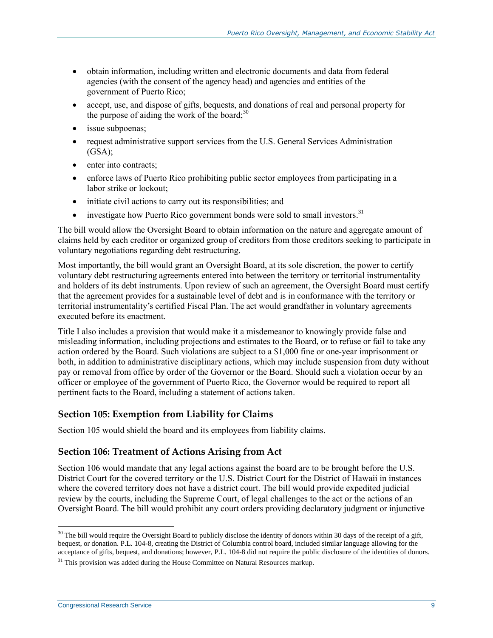- obtain information, including written and electronic documents and data from federal agencies (with the consent of the agency head) and agencies and entities of the government of Puerto Rico;
- accept, use, and dispose of gifts, bequests, and donations of real and personal property for the purpose of aiding the work of the board; $30$
- issue subpoenas;
- request administrative support services from the U.S. General Services Administration  $(GSA)$ :
- enter into contracts:
- enforce laws of Puerto Rico prohibiting public sector employees from participating in a labor strike or lockout;
- initiate civil actions to carry out its responsibilities; and
- $\bullet$  investigate how Puerto Rico government bonds were sold to small investors.<sup>31</sup>

The bill would allow the Oversight Board to obtain information on the nature and aggregate amount of claims held by each creditor or organized group of creditors from those creditors seeking to participate in voluntary negotiations regarding debt restructuring.

Most importantly, the bill would grant an Oversight Board, at its sole discretion, the power to certify voluntary debt restructuring agreements entered into between the territory or territorial instrumentality and holders of its debt instruments. Upon review of such an agreement, the Oversight Board must certify that the agreement provides for a sustainable level of debt and is in conformance with the territory or territorial instrumentality's certified Fiscal Plan. The act would grandfather in voluntary agreements executed before its enactment.

Title I also includes a provision that would make it a misdemeanor to knowingly provide false and misleading information, including projections and estimates to the Board, or to refuse or fail to take any action ordered by the Board. Such violations are subject to a \$1,000 fine or one-year imprisonment or both, in addition to administrative disciplinary actions, which may include suspension from duty without pay or removal from office by order of the Governor or the Board. Should such a violation occur by an officer or employee of the government of Puerto Rico, the Governor would be required to report all pertinent facts to the Board, including a statement of actions taken.

#### **Section 105: Exemption from Liability for Claims**

Section 105 would shield the board and its employees from liability claims.

#### **Section 106: Treatment of Actions Arising from Act**

Section 106 would mandate that any legal actions against the board are to be brought before the U.S. District Court for the covered territory or the U.S. District Court for the District of Hawaii in instances where the covered territory does not have a district court. The bill would provide expedited judicial review by the courts, including the Supreme Court, of legal challenges to the act or the actions of an Oversight Board. The bill would prohibit any court orders providing declaratory judgment or injunctive

 $30$  The bill would require the Oversight Board to publicly disclose the identity of donors within 30 days of the receipt of a gift, bequest, or donation. P.L. 104-8, creating the District of Columbia control board, included similar language allowing for the acceptance of gifts, bequest, and donations; however, P.L. 104-8 did not require the public disclosure of the identities of donors.

 $31$  This provision was added during the House Committee on Natural Resources markup.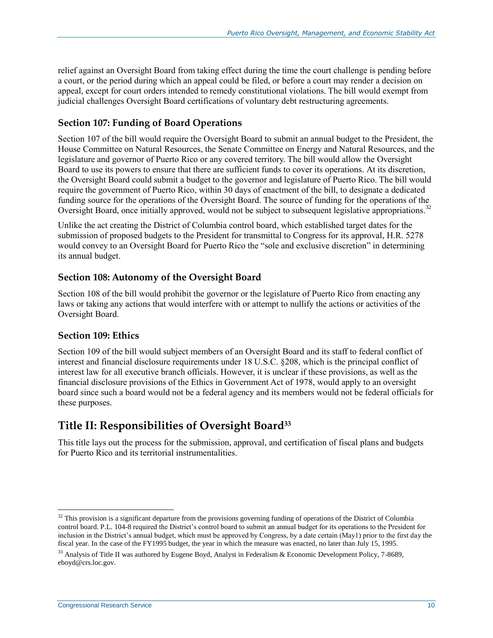relief against an Oversight Board from taking effect during the time the court challenge is pending before a court, or the period during which an appeal could be filed, or before a court may render a decision on appeal, except for court orders intended to remedy constitutional violations. The bill would exempt from judicial challenges Oversight Board certifications of voluntary debt restructuring agreements.

#### **Section 107: Funding of Board Operations**

Section 107 of the bill would require the Oversight Board to submit an annual budget to the President, the House Committee on Natural Resources, the Senate Committee on Energy and Natural Resources, and the legislature and governor of Puerto Rico or any covered territory. The bill would allow the Oversight Board to use its powers to ensure that there are sufficient funds to cover its operations. At its discretion, the Oversight Board could submit a budget to the governor and legislature of Puerto Rico. The bill would require the government of Puerto Rico, within 30 days of enactment of the bill, to designate a dedicated funding source for the operations of the Oversight Board. The source of funding for the operations of the Oversight Board, once initially approved, would not be subject to subsequent legislative appropriations.<sup>32</sup>

Unlike the act creating the District of Columbia control board, which established target dates for the submission of proposed budgets to the President for transmittal to Congress for its approval, H.R. 5278 would convey to an Oversight Board for Puerto Rico the "sole and exclusive discretion" in determining its annual budget.

#### **Section 108: Autonomy of the Oversight Board**

Section 108 of the bill would prohibit the governor or the legislature of Puerto Rico from enacting any laws or taking any actions that would interfere with or attempt to nullify the actions or activities of the Oversight Board.

#### **Section 109: Ethics**

Section 109 of the bill would subject members of an Oversight Board and its staff to federal conflict of interest and financial disclosure requirements under 18 U.S.C. §208, which is the principal conflict of interest law for all executive branch officials. However, it is unclear if these provisions, as well as the financial disclosure provisions of the Ethics in Government Act of 1978, would apply to an oversight board since such a board would not be a federal agency and its members would not be federal officials for these purposes.

## **Title II: Responsibilities of Oversight Board<sup>33</sup>**

This title lays out the process for the submission, approval, and certification of fiscal plans and budgets for Puerto Rico and its territorial instrumentalities.

 $32$  This provision is a significant departure from the provisions governing funding of operations of the District of Columbia control board. P.L. 104-8 required the District's control board to submit an annual budget for its operations to the President for inclusion in the District's annual budget, which must be approved by Congress, by a date certain (May1) prior to the first day the fiscal year. In the case of the FY1995 budget, the year in which the measure was enacted, no later than July 15, 1995.

<sup>&</sup>lt;sup>33</sup> Analysis of Title II was authored by Eugene Boyd, Analyst in Federalism & Economic Development Policy, 7-8689, eboyd@crs.loc.gov.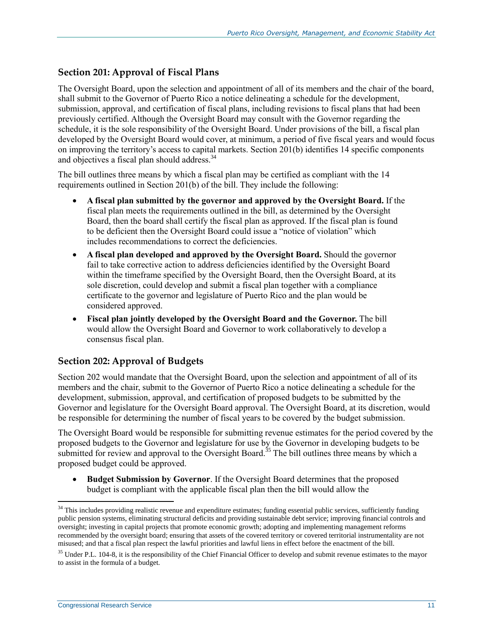#### **Section 201: Approval of Fiscal Plans**

The Oversight Board, upon the selection and appointment of all of its members and the chair of the board, shall submit to the Governor of Puerto Rico a notice delineating a schedule for the development, submission, approval, and certification of fiscal plans, including revisions to fiscal plans that had been previously certified. Although the Oversight Board may consult with the Governor regarding the schedule, it is the sole responsibility of the Oversight Board. Under provisions of the bill, a fiscal plan developed by the Oversight Board would cover, at minimum, a period of five fiscal years and would focus on improving the territory's access to capital markets. Section 201(b) identifies 14 specific components and objectives a fiscal plan should address.<sup>34</sup>

The bill outlines three means by which a fiscal plan may be certified as compliant with the 14 requirements outlined in Section 201(b) of the bill. They include the following:

- **A fiscal plan submitted by the governor and approved by the Oversight Board.** If the fiscal plan meets the requirements outlined in the bill, as determined by the Oversight Board, then the board shall certify the fiscal plan as approved. If the fiscal plan is found to be deficient then the Oversight Board could issue a "notice of violation" which includes recommendations to correct the deficiencies.
- **A fiscal plan developed and approved by the Oversight Board.** Should the governor fail to take corrective action to address deficiencies identified by the Oversight Board within the timeframe specified by the Oversight Board, then the Oversight Board, at its sole discretion, could develop and submit a fiscal plan together with a compliance certificate to the governor and legislature of Puerto Rico and the plan would be considered approved.
- **Fiscal plan jointly developed by the Oversight Board and the Governor.** The bill would allow the Oversight Board and Governor to work collaboratively to develop a consensus fiscal plan.

#### **Section 202: Approval of Budgets**

Section 202 would mandate that the Oversight Board, upon the selection and appointment of all of its members and the chair, submit to the Governor of Puerto Rico a notice delineating a schedule for the development, submission, approval, and certification of proposed budgets to be submitted by the Governor and legislature for the Oversight Board approval. The Oversight Board, at its discretion, would be responsible for determining the number of fiscal years to be covered by the budget submission.

The Oversight Board would be responsible for submitting revenue estimates for the period covered by the proposed budgets to the Governor and legislature for use by the Governor in developing budgets to be submitted for review and approval to the Oversight Board.<sup>35</sup> The bill outlines three means by which a proposed budget could be approved.

 **Budget Submission by Governor**. If the Oversight Board determines that the proposed budget is compliant with the applicable fiscal plan then the bill would allow the

<sup>&</sup>lt;sup>34</sup> This includes providing realistic revenue and expenditure estimates; funding essential public services, sufficiently funding public pension systems, eliminating structural deficits and providing sustainable debt service; improving financial controls and oversight; investing in capital projects that promote economic growth; adopting and implementing management reforms recommended by the oversight board; ensuring that assets of the covered territory or covered territorial instrumentality are not misused; and that a fiscal plan respect the lawful priorities and lawful liens in effect before the enactment of the bill.

<sup>&</sup>lt;sup>35</sup> Under P.L. 104-8, it is the responsibility of the Chief Financial Officer to develop and submit revenue estimates to the mayor to assist in the formula of a budget.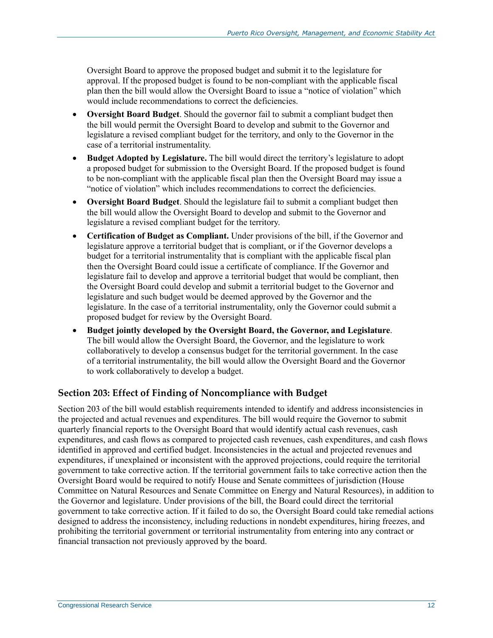Oversight Board to approve the proposed budget and submit it to the legislature for approval. If the proposed budget is found to be non-compliant with the applicable fiscal plan then the bill would allow the Oversight Board to issue a "notice of violation" which would include recommendations to correct the deficiencies.

- **Oversight Board Budget**. Should the governor fail to submit a compliant budget then the bill would permit the Oversight Board to develop and submit to the Governor and legislature a revised compliant budget for the territory, and only to the Governor in the case of a territorial instrumentality.
- **Budget Adopted by Legislature.** The bill would direct the territory's legislature to adopt a proposed budget for submission to the Oversight Board. If the proposed budget is found to be non-compliant with the applicable fiscal plan then the Oversight Board may issue a "notice of violation" which includes recommendations to correct the deficiencies.
- **Oversight Board Budget**. Should the legislature fail to submit a compliant budget then the bill would allow the Oversight Board to develop and submit to the Governor and legislature a revised compliant budget for the territory.
- **Certification of Budget as Compliant.** Under provisions of the bill, if the Governor and legislature approve a territorial budget that is compliant, or if the Governor develops a budget for a territorial instrumentality that is compliant with the applicable fiscal plan then the Oversight Board could issue a certificate of compliance. If the Governor and legislature fail to develop and approve a territorial budget that would be compliant, then the Oversight Board could develop and submit a territorial budget to the Governor and legislature and such budget would be deemed approved by the Governor and the legislature. In the case of a territorial instrumentality, only the Governor could submit a proposed budget for review by the Oversight Board.
- **Budget jointly developed by the Oversight Board, the Governor, and Legislature**. The bill would allow the Oversight Board, the Governor, and the legislature to work collaboratively to develop a consensus budget for the territorial government. In the case of a territorial instrumentality, the bill would allow the Oversight Board and the Governor to work collaboratively to develop a budget.

#### **Section 203: Effect of Finding of Noncompliance with Budget**

Section 203 of the bill would establish requirements intended to identify and address inconsistencies in the projected and actual revenues and expenditures. The bill would require the Governor to submit quarterly financial reports to the Oversight Board that would identify actual cash revenues, cash expenditures, and cash flows as compared to projected cash revenues, cash expenditures, and cash flows identified in approved and certified budget. Inconsistencies in the actual and projected revenues and expenditures, if unexplained or inconsistent with the approved projections, could require the territorial government to take corrective action. If the territorial government fails to take corrective action then the Oversight Board would be required to notify House and Senate committees of jurisdiction (House Committee on Natural Resources and Senate Committee on Energy and Natural Resources), in addition to the Governor and legislature. Under provisions of the bill, the Board could direct the territorial government to take corrective action. If it failed to do so, the Oversight Board could take remedial actions designed to address the inconsistency, including reductions in nondebt expenditures, hiring freezes, and prohibiting the territorial government or territorial instrumentality from entering into any contract or financial transaction not previously approved by the board.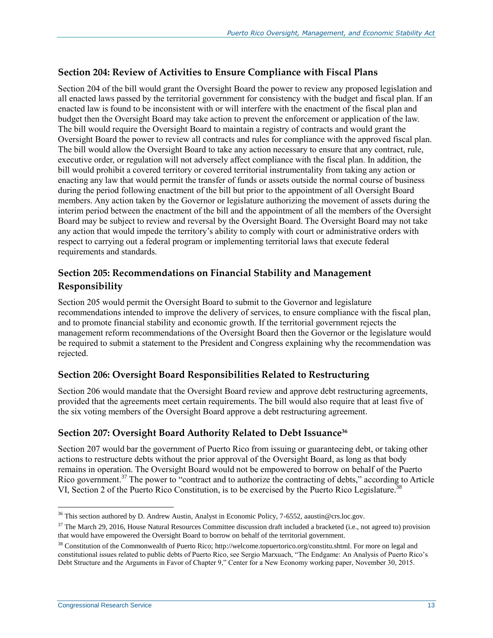#### **Section 204: Review of Activities to Ensure Compliance with Fiscal Plans**

Section 204 of the bill would grant the Oversight Board the power to review any proposed legislation and all enacted laws passed by the territorial government for consistency with the budget and fiscal plan. If an enacted law is found to be inconsistent with or will interfere with the enactment of the fiscal plan and budget then the Oversight Board may take action to prevent the enforcement or application of the law. The bill would require the Oversight Board to maintain a registry of contracts and would grant the Oversight Board the power to review all contracts and rules for compliance with the approved fiscal plan. The bill would allow the Oversight Board to take any action necessary to ensure that any contract, rule, executive order, or regulation will not adversely affect compliance with the fiscal plan. In addition, the bill would prohibit a covered territory or covered territorial instrumentality from taking any action or enacting any law that would permit the transfer of funds or assets outside the normal course of business during the period following enactment of the bill but prior to the appointment of all Oversight Board members. Any action taken by the Governor or legislature authorizing the movement of assets during the interim period between the enactment of the bill and the appointment of all the members of the Oversight Board may be subject to review and reversal by the Oversight Board. The Oversight Board may not take any action that would impede the territory's ability to comply with court or administrative orders with respect to carrying out a federal program or implementing territorial laws that execute federal requirements and standards.

#### **Section 205: Recommendations on Financial Stability and Management Responsibility**

Section 205 would permit the Oversight Board to submit to the Governor and legislature recommendations intended to improve the delivery of services, to ensure compliance with the fiscal plan, and to promote financial stability and economic growth. If the territorial government rejects the management reform recommendations of the Oversight Board then the Governor or the legislature would be required to submit a statement to the President and Congress explaining why the recommendation was rejected.

#### **Section 206: Oversight Board Responsibilities Related to Restructuring**

Section 206 would mandate that the Oversight Board review and approve debt restructuring agreements, provided that the agreements meet certain requirements. The bill would also require that at least five of the six voting members of the Oversight Board approve a debt restructuring agreement.

#### **Section 207: Oversight Board Authority Related to Debt Issuance<sup>36</sup>**

Section 207 would bar the government of Puerto Rico from issuing or guaranteeing debt, or taking other actions to restructure debts without the prior approval of the Oversight Board, as long as that body remains in operation. The Oversight Board would not be empowered to borrow on behalf of the Puerto Rico government.<sup>37</sup> The power to "contract and to authorize the contracting of debts," according to Article VI, Section 2 of the Puerto Rico Constitution, is to be exercised by the Puerto Rico Legislature.<sup>38</sup>

<sup>&</sup>lt;sup>36</sup> This section authored by D. Andrew Austin, Analyst in Economic Policy, 7-6552, aaustin@crs.loc.gov.

<sup>&</sup>lt;sup>37</sup> The March 29, 2016, House Natural Resources Committee discussion draft included a bracketed (i.e., not agreed to) provision that would have empowered the Oversight Board to borrow on behalf of the territorial government.

<sup>38</sup> Constitution of the Commonwealth of Puerto Rico; http://welcome.topuertorico.org/constitu.shtml. For more on legal and constitutional issues related to public debts of Puerto Rico, see Sergio Marxuach, "The Endgame: An Analysis of Puerto Rico's Debt Structure and the Arguments in Favor of Chapter 9," Center for a New Economy working paper, November 30, 2015.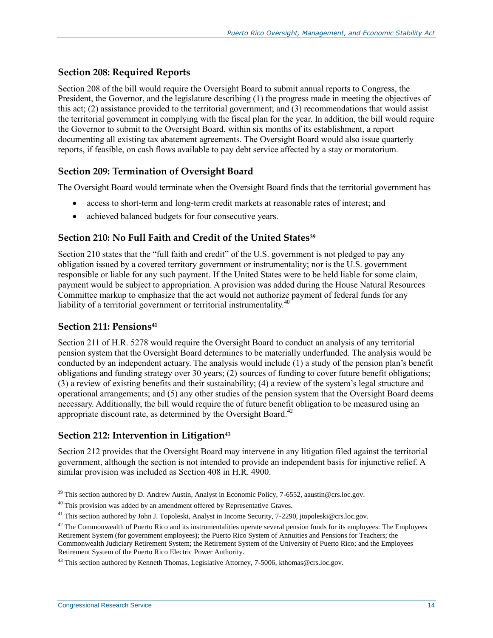#### **Section 208: Required Reports**

Section 208 of the bill would require the Oversight Board to submit annual reports to Congress, the President, the Governor, and the legislature describing (1) the progress made in meeting the objectives of this act; (2) assistance provided to the territorial government; and (3) recommendations that would assist the territorial government in complying with the fiscal plan for the year. In addition, the bill would require the Governor to submit to the Oversight Board, within six months of its establishment, a report documenting all existing tax abatement agreements. The Oversight Board would also issue quarterly reports, if feasible, on cash flows available to pay debt service affected by a stay or moratorium.

#### **Section 209: Termination of Oversight Board**

The Oversight Board would terminate when the Oversight Board finds that the territorial government has

- access to short-term and long-term credit markets at reasonable rates of interest; and
- achieved balanced budgets for four consecutive years.

#### **Section 210: No Full Faith and Credit of the United States<sup>39</sup>**

Section 210 states that the "full faith and credit" of the U.S. government is not pledged to pay any obligation issued by a covered territory government or instrumentality; nor is the U.S. government responsible or liable for any such payment. If the United States were to be held liable for some claim, payment would be subject to appropriation. A provision was added during the House Natural Resources Committee markup to emphasize that the act would not authorize payment of federal funds for any liability of a territorial government or territorial instrumentality.<sup>40</sup>

#### **Section 211: Pensions<sup>41</sup>**

Section 211 of [H.R. 5278](http://www.congress.gov/cgi-lis/bdquery/z?d114:H.R.5278:) would require the Oversight Board to conduct an analysis of any territorial pension system that the Oversight Board determines to be materially underfunded. The analysis would be conducted by an independent actuary. The analysis would include (1) a study of the pension plan's benefit obligations and funding strategy over 30 years; (2) sources of funding to cover future benefit obligations; (3) a review of existing benefits and their sustainability; (4) a review of the system's legal structure and operational arrangements; and (5) any other studies of the pension system that the Oversight Board deems necessary. Additionally, the bill would require the of future benefit obligation to be measured using an appropriate discount rate, as determined by the Oversight Board.<sup>42</sup>

#### **Section 212: Intervention in Litigation<sup>43</sup>**

Section 212 provides that the Oversight Board may intervene in any litigation filed against the territorial government, although the section is not intended to provide an independent basis for injunctive relief. A similar provision was included as Section 408 in H.R. 4900.

<sup>&</sup>lt;sup>39</sup> This section authored by D. Andrew Austin, Analyst in Economic Policy, 7-6552, aaustin@crs.loc.gov.

<sup>&</sup>lt;sup>40</sup> This provision was added by an amendment offered by Representative Graves.

<sup>&</sup>lt;sup>41</sup> This section authored by John J. Topoleski, Analyst in Income Security, 7-2290, jtopoleski@crs.loc.gov.

 $42$  The Commonwealth of Puerto Rico and its instrumentalities operate several pension funds for its employees: The Employees Retirement System (for government employees); the Puerto Rico System of Annuities and Pensions for Teachers; the Commonwealth Judiciary Retirement System; the Retirement System of the University of Puerto Rico; and the Employees Retirement System of the Puerto Rico Electric Power Authority.

 $43$  This section authored by Kenneth Thomas, Legislative Attorney, 7-5006, kthomas@crs.loc.gov.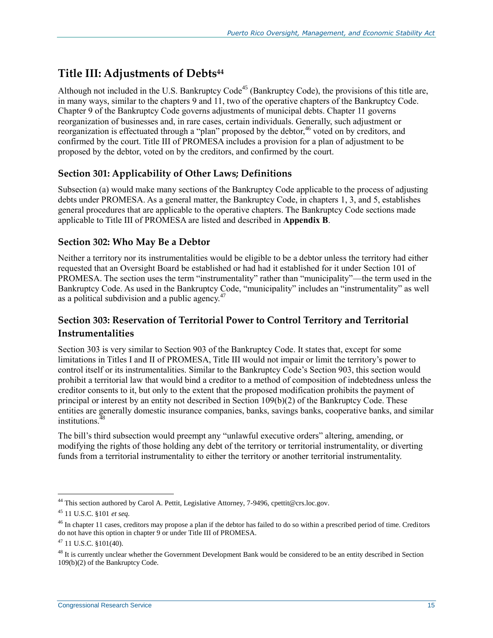## **Title III: Adjustments of Debts<sup>44</sup>**

Although not included in the U.S. Bankruptcy Code<sup>45</sup> (Bankruptcy Code), the provisions of this title are, in many ways, similar to the chapters 9 and 11, two of the operative chapters of the Bankruptcy Code. Chapter 9 of the Bankruptcy Code governs adjustments of municipal debts. Chapter 11 governs reorganization of businesses and, in rare cases, certain individuals. Generally, such adjustment or reorganization is effectuated through a "plan" proposed by the debtor,<sup>46</sup> voted on by creditors, and confirmed by the court. Title III of PROMESA includes a provision for a plan of adjustment to be proposed by the debtor, voted on by the creditors, and confirmed by the court.

#### **Section 301: Applicability of Other Laws; Definitions**

Subsection (a) would make many sections of the Bankruptcy Code applicable to the process of adjusting debts under PROMESA. As a general matter, the Bankruptcy Code, in chapters 1, 3, and 5, establishes general procedures that are applicable to the operative chapters. The Bankruptcy Code sections made applicable to Title III of PROMESA are listed and described in **[Appendix B](#page-40-0)**.

#### **Section 302: Who May Be a Debtor**

Neither a territory nor its instrumentalities would be eligible to be a debtor unless the territory had either requested that an Oversight Board be established or had had it established for it under Section 101 of PROMESA. The section uses the term "instrumentality" rather than "municipality"—the term used in the Bankruptcy Code. As used in the Bankruptcy Code, "municipality" includes an "instrumentality" as well as a political subdivision and a public agency.<sup>47</sup>

#### **Section 303: Reservation of Territorial Power to Control Territory and Territorial Instrumentalities**

Section 303 is very similar to Section 903 of the Bankruptcy Code. It states that, except for some limitations in Titles I and II of PROMESA, Title III would not impair or limit the territory's power to control itself or its instrumentalities. Similar to the Bankruptcy Code's Section 903, this section would prohibit a territorial law that would bind a creditor to a method of composition of indebtedness unless the creditor consents to it, but only to the extent that the proposed modification prohibits the payment of principal or interest by an entity not described in Section  $109(b)(2)$  of the Bankruptcy Code. These entities are generally domestic insurance companies, banks, savings banks, cooperative banks, and similar institutions.<sup>48</sup>

The bill's third subsection would preempt any "unlawful executive orders" altering, amending, or modifying the rights of those holding any debt of the territory or territorial instrumentality, or diverting funds from a territorial instrumentality to either the territory or another territorial instrumentality.

<sup>&</sup>lt;sup>44</sup> This section authored by Carol A. Pettit, Legislative Attorney, 7-9496, cpettit@crs.loc.gov.

<sup>45</sup> 11 U.S.C. §101 *et seq.*

<sup>&</sup>lt;sup>46</sup> In chapter 11 cases, creditors may propose a plan if the debtor has failed to do so within a prescribed period of time. Creditors do not have this option in chapter 9 or under Title III of PROMESA.

 $47$  11 U.S.C. §101(40).

<sup>&</sup>lt;sup>48</sup> It is currently unclear whether the Government Development Bank would be considered to be an entity described in Section 109(b)(2) of the Bankruptcy Code.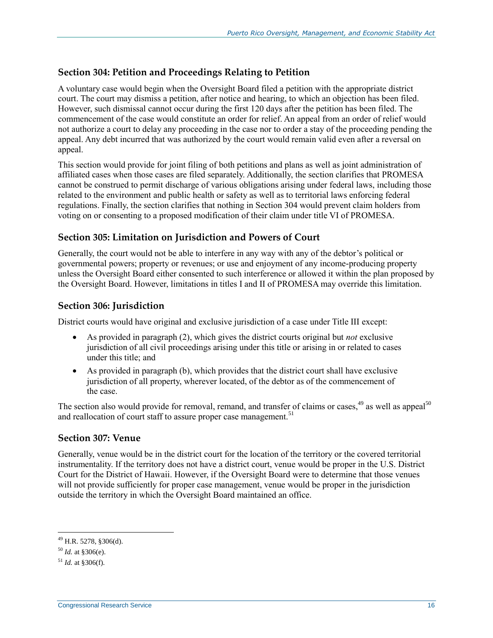#### **Section 304: Petition and Proceedings Relating to Petition**

A voluntary case would begin when the Oversight Board filed a petition with the appropriate district court. The court may dismiss a petition, after notice and hearing, to which an objection has been filed. However, such dismissal cannot occur during the first 120 days after the petition has been filed. The commencement of the case would constitute an order for relief. An appeal from an order of relief would not authorize a court to delay any proceeding in the case nor to order a stay of the proceeding pending the appeal. Any debt incurred that was authorized by the court would remain valid even after a reversal on appeal.

This section would provide for joint filing of both petitions and plans as well as joint administration of affiliated cases when those cases are filed separately. Additionally, the section clarifies that PROMESA cannot be construed to permit discharge of various obligations arising under federal laws, including those related to the environment and public health or safety as well as to territorial laws enforcing federal regulations. Finally, the section clarifies that nothing in Section 304 would prevent claim holders from voting on or consenting to a proposed modification of their claim under title VI of PROMESA.

#### **Section 305: Limitation on Jurisdiction and Powers of Court**

Generally, the court would not be able to interfere in any way with any of the debtor's political or governmental powers; property or revenues; or use and enjoyment of any income-producing property unless the Oversight Board either consented to such interference or allowed it within the plan proposed by the Oversight Board. However, limitations in titles I and II of PROMESA may override this limitation.

#### **Section 306: Jurisdiction**

District courts would have original and exclusive jurisdiction of a case under Title III except:

- As provided in paragraph (2), which gives the district courts original but *not* exclusive jurisdiction of all civil proceedings arising under this title or arising in or related to cases under this title; and
- As provided in paragraph (b), which provides that the district court shall have exclusive jurisdiction of all property, wherever located, of the debtor as of the commencement of the case.

The section also would provide for removal, remand, and transfer of claims or cases,<sup>49</sup> as well as appeal<sup>50</sup> and reallocation of court staff to assure proper case management.<sup>51</sup>

#### **Section 307: Venue**

Generally, venue would be in the district court for the location of the territory or the covered territorial instrumentality. If the territory does not have a district court, venue would be proper in the U.S. District Court for the District of Hawaii. However, if the Oversight Board were to determine that those venues will not provide sufficiently for proper case management, venue would be proper in the jurisdiction outside the territory in which the Oversight Board maintained an office.

<sup>49</sup> H.R. 5278, §306(d).

<sup>50</sup> *Id.* at §306(e).

 $^{51}$  *Id.* at  $$306(f)$ .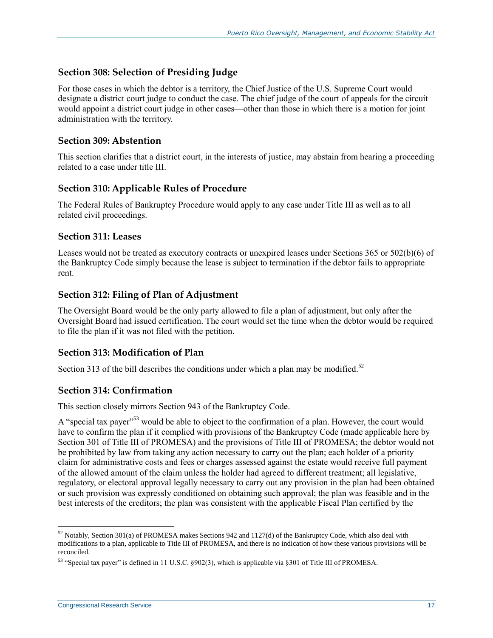#### **Section 308: Selection of Presiding Judge**

For those cases in which the debtor is a territory, the Chief Justice of the U.S. Supreme Court would designate a district court judge to conduct the case. The chief judge of the court of appeals for the circuit would appoint a district court judge in other cases—other than those in which there is a motion for joint administration with the territory.

#### **Section 309: Abstention**

This section clarifies that a district court, in the interests of justice, may abstain from hearing a proceeding related to a case under title III.

#### **Section 310: Applicable Rules of Procedure**

The Federal Rules of Bankruptcy Procedure would apply to any case under Title III as well as to all related civil proceedings.

#### **Section 311: Leases**

Leases would not be treated as executory contracts or unexpired leases under Sections 365 or 502(b)(6) of the Bankruptcy Code simply because the lease is subject to termination if the debtor fails to appropriate rent.

#### **Section 312: Filing of Plan of Adjustment**

The Oversight Board would be the only party allowed to file a plan of adjustment, but only after the Oversight Board had issued certification. The court would set the time when the debtor would be required to file the plan if it was not filed with the petition.

#### **Section 313: Modification of Plan**

Section 313 of the bill describes the conditions under which a plan may be modified.<sup>52</sup>

#### **Section 314: Confirmation**

This section closely mirrors Section 943 of the Bankruptcy Code.

A "special tax payer"<sup>53</sup> would be able to object to the confirmation of a plan. However, the court would have to confirm the plan if it complied with provisions of the Bankruptcy Code (made applicable here by Section 301 of Title III of PROMESA) and the provisions of Title III of PROMESA; the debtor would not be prohibited by law from taking any action necessary to carry out the plan; each holder of a priority claim for administrative costs and fees or charges assessed against the estate would receive full payment of the allowed amount of the claim unless the holder had agreed to different treatment; all legislative, regulatory, or electoral approval legally necessary to carry out any provision in the plan had been obtained or such provision was expressly conditioned on obtaining such approval; the plan was feasible and in the best interests of the creditors; the plan was consistent with the applicable Fiscal Plan certified by the

 $52$  Notably, Section 301(a) of PROMESA makes Sections 942 and 1127(d) of the Bankruptcy Code, which also deal with modifications to a plan, applicable to Title III of PROMESA, and there is no indication of how these various provisions will be reconciled.

<sup>53</sup> "Special tax payer" is defined in 11 U.S.C. §902(3), which is applicable via §301 of Title III of PROMESA.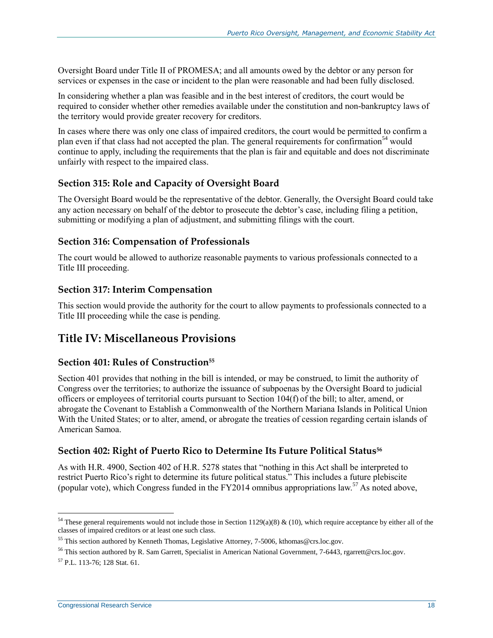Oversight Board under Title II of PROMESA; and all amounts owed by the debtor or any person for services or expenses in the case or incident to the plan were reasonable and had been fully disclosed.

In considering whether a plan was feasible and in the best interest of creditors, the court would be required to consider whether other remedies available under the constitution and non-bankruptcy laws of the territory would provide greater recovery for creditors.

In cases where there was only one class of impaired creditors, the court would be permitted to confirm a plan even if that class had not accepted the plan. The general requirements for confirmation<sup>54</sup> would continue to apply, including the requirements that the plan is fair and equitable and does not discriminate unfairly with respect to the impaired class.

#### **Section 315: Role and Capacity of Oversight Board**

The Oversight Board would be the representative of the debtor. Generally, the Oversight Board could take any action necessary on behalf of the debtor to prosecute the debtor's case, including filing a petition, submitting or modifying a plan of adjustment, and submitting filings with the court.

#### **Section 316: Compensation of Professionals**

The court would be allowed to authorize reasonable payments to various professionals connected to a Title III proceeding.

#### **Section 317: Interim Compensation**

This section would provide the authority for the court to allow payments to professionals connected to a Title III proceeding while the case is pending.

## **Title IV: Miscellaneous Provisions**

#### **Section 401: Rules of Construction<sup>55</sup>**

Section 401 provides that nothing in the bill is intended, or may be construed, to limit the authority of Congress over the territories; to authorize the issuance of subpoenas by the Oversight Board to judicial officers or employees of territorial courts pursuant to Section 104(f) of the bill; to alter, amend, or abrogate the Covenant to Establish a Commonwealth of the Northern Mariana Islands in Political Union With the United States; or to alter, amend, or abrogate the treaties of cession regarding certain islands of American Samoa.

#### **Section 402: Right of Puerto Rico to Determine Its Future Political Status<sup>56</sup>**

As with [H.R. 4900,](http://www.congress.gov/cgi-lis/bdquery/z?d114:H.R.4900:) Section 402 of H.R. 5278 states that "nothing in this Act shall be interpreted to restrict Puerto Rico's right to determine its future political status." This includes a future plebiscite (popular vote), which Congress funded in the FY2014 omnibus appropriations law.<sup>57</sup> As noted above,

 $\overline{a}$ <sup>54</sup> These general requirements would not include those in Section 1129(a)(8) & (10), which require acceptance by either all of the classes of impaired creditors or at least one such class.

<sup>&</sup>lt;sup>55</sup> This section authored by Kenneth Thomas, Legislative Attorney, 7-5006, kthomas@crs.loc.gov.

<sup>&</sup>lt;sup>56</sup> This section authored by R. Sam Garrett, Specialist in American National Government, 7-6443, rgarrett@crs.loc.gov.

<sup>57</sup> P.L. 113-76; 128 Stat. 61.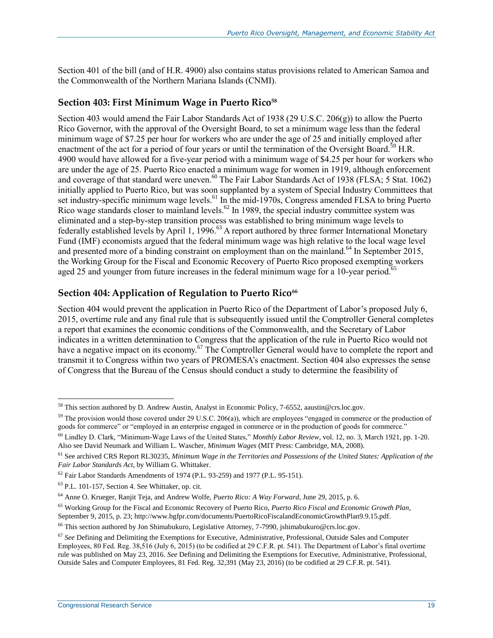Section 401 of the bill (and of [H.R. 4900\)](http://www.congress.gov/cgi-lis/bdquery/z?d114:H.R.4900:) also contains status provisions related to American Samoa and the Commonwealth of the Northern Mariana Islands (CNMI).

#### **Section 403: First Minimum Wage in Puerto Rico<sup>58</sup>**

Section 403 would amend the Fair Labor Standards Act of 1938 (29 U.S.C. 206(g)) to allow the Puerto Rico Governor, with the approval of the Oversight Board, to set a minimum wage less than the federal minimum wage of \$7.25 per hour for workers who are under the age of 25 and initially employed after enactment of the act for a period of four years or until the termination of the Oversight Board.<sup>59</sup> H.R. 4900 would have allowed for a five-year period with a minimum wage of \$4.25 per hour for workers who are under the age of 25. Puerto Rico enacted a minimum wage for women in 1919, although enforcement and coverage of that standard were uneven.<sup>60</sup> The Fair Labor Standards Act of 1938 (FLSA; 5 Stat. 1062) initially applied to Puerto Rico, but was soon supplanted by a system of Special Industry Committees that set industry-specific minimum wage levels.<sup>61</sup> In the mid-1970s, Congress amended FLSA to bring Puerto Rico wage standards closer to mainland levels.<sup>62</sup> In 1989, the special industry committee system was eliminated and a step-by-step transition process was established to bring minimum wage levels to federally established levels by April 1, 1996.<sup>63</sup> A report authored by three former International Monetary Fund (IMF) economists argued that the federal minimum wage was high relative to the local wage level and presented more of a binding constraint on employment than on the mainland.<sup>64</sup> In September 2015, the Working Group for the Fiscal and Economic Recovery of Puerto Rico proposed exempting workers aged 25 and younger from future increases in the federal minimum wage for a 10-year period.<sup>65</sup>

#### **Section 404: Application of Regulation to Puerto Rico<sup>66</sup>**

Section 404 would prevent the application in Puerto Rico of the Department of Labor's proposed July 6, 2015, overtime rule and any final rule that is subsequently issued until the Comptroller General completes a report that examines the economic conditions of the Commonwealth, and the Secretary of Labor indicates in a written determination to Congress that the application of the rule in Puerto Rico would not have a negative impact on its economy.<sup>67</sup> The Comptroller General would have to complete the report and transmit it to Congress within two years of PROMESA's enactment. Section 404 also expresses the sense of Congress that the Bureau of the Census should conduct a study to determine the feasibility of

<sup>58</sup> This section authored by D. Andrew Austin, Analyst in Economic Policy, 7-6552, aaustin@crs.loc.gov.

 $59$  The provision would those covered under 29 U.S.C. 206(a)), which are employees "engaged in commerce or the production of goods for commerce" or "employed in an enterprise engaged in commerce or in the production of goods for commerce."

<sup>60</sup> Lindley D. Clark, "Minimum-Wage Laws of the United States," *Monthly Labor Review*, vol. 12, no. 3, March 1921, pp. 1-20. Also see David Neumark and William L. Wascher, *Minimum Wages* (MIT Press: Cambridge, MA, 2008).

<sup>61</sup> See archived CRS Report RL30235, *Minimum Wage in the Territories and Possessions of the United States: Application of the Fair Labor Standards Act*, by William G. Whittaker.

 $62$  Fair Labor Standards Amendments of 1974 (P.L. 93-259) and 1977 (P.L. 95-151).

<sup>63</sup> P.L. 101-157, Section 4. See Whittaker, op. cit.

<sup>64</sup> Anne O. Krueger, Ranjit Teja, and Andrew Wolfe, *Puerto Rico: A Way Forward*, June 29, 2015, p. 6.

<sup>65</sup> Working Group for the Fiscal and Economic Recovery of Puerto Rico, *Puerto Rico Fiscal and Economic Growth Plan*, September 9, 2015, p. 23; http://www.bgfpr.com/documents/PuertoRicoFiscalandEconomicGrowthPlan9.9.15.pdf.

<sup>&</sup>lt;sup>66</sup> This section authored by Jon Shimabukuro, Legislative Attorney, 7-7990, jshimabukuro@crs.loc.gov.

<sup>67</sup> *See* Defining and Delimiting the Exemptions for Executive, Administrative, Professional, Outside Sales and Computer Employees, 80 Fed. Reg. 38,516 (July 6, 2015) (to be codified at 29 C.F.R. pt. 541). The Department of Labor's final overtime rule was published on May 23, 2016. *See* Defining and Delimiting the Exemptions for Executive, Administrative, Professional, Outside Sales and Computer Employees, 81 Fed. Reg. 32,391 (May 23, 2016) (to be codified at 29 C.F.R. pt. 541).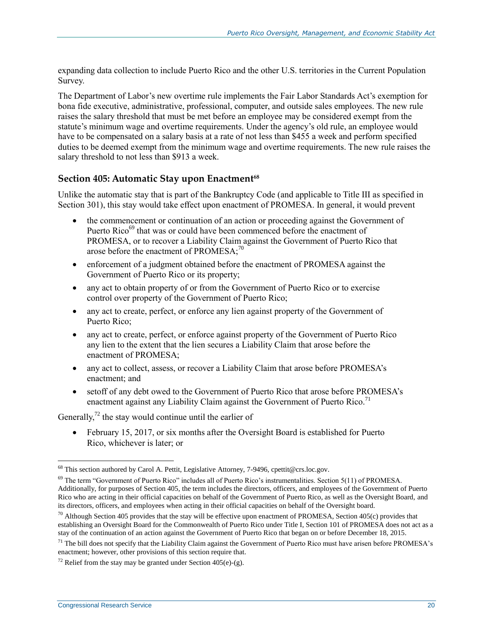expanding data collection to include Puerto Rico and the other U.S. territories in the Current Population Survey.

The Department of Labor's new overtime rule implements the Fair Labor Standards Act's exemption for bona fide executive, administrative, professional, computer, and outside sales employees. The new rule raises the salary threshold that must be met before an employee may be considered exempt from the statute's minimum wage and overtime requirements. Under the agency's old rule, an employee would have to be compensated on a salary basis at a rate of not less than \$455 a week and perform specified duties to be deemed exempt from the minimum wage and overtime requirements. The new rule raises the salary threshold to not less than \$913 a week.

#### **Section 405: Automatic Stay upon Enactment<sup>68</sup>**

Unlike the automatic stay that is part of the Bankruptcy Code (and applicable to Title III as specified in Section 301), this stay would take effect upon enactment of PROMESA. In general, it would prevent

- the commencement or continuation of an action or proceeding against the Government of Puerto Rico<sup>69</sup> that was or could have been commenced before the enactment of PROMESA, or to recover a Liability Claim against the Government of Puerto Rico that arose before the enactment of PROMESA; $^{70}$
- enforcement of a judgment obtained before the enactment of PROMESA against the Government of Puerto Rico or its property;
- any act to obtain property of or from the Government of Puerto Rico or to exercise control over property of the Government of Puerto Rico;
- any act to create, perfect, or enforce any lien against property of the Government of Puerto Rico;
- any act to create, perfect, or enforce against property of the Government of Puerto Rico any lien to the extent that the lien secures a Liability Claim that arose before the enactment of PROMESA;
- any act to collect, assess, or recover a Liability Claim that arose before PROMESA's enactment; and
- setoff of any debt owed to the Government of Puerto Rico that arose before PROMESA's enactment against any Liability Claim against the Government of Puerto Rico.<sup>71</sup>

Generally, $^{72}$  the stay would continue until the earlier of

 February 15, 2017, or six months after the Oversight Board is established for Puerto Rico, whichever is later; or

 $^{68}$  This section authored by Carol A. Pettit, Legislative Attorney, 7-9496, cpettit@crs.loc.gov.

 $69$  The term "Government of Puerto Rico" includes all of Puerto Rico's instrumentalities. Section 5(11) of PROMESA. Additionally, for purposes of Section 405, the term includes the directors, officers, and employees of the Government of Puerto Rico who are acting in their official capacities on behalf of the Government of Puerto Rico, as well as the Oversight Board, and its directors, officers, and employees when acting in their official capacities on behalf of the Oversight board.

 $70$  Although Section 405 provides that the stay will be effective upon enactment of PROMESA, Section 405(c) provides that establishing an Oversight Board for the Commonwealth of Puerto Rico under Title I, Section 101 of PROMESA does not act as a stay of the continuation of an action against the Government of Puerto Rico that began on or before December 18, 2015.

 $<sup>71</sup>$  The bill does not specify that the Liability Claim against the Government of Puerto Rico must have arisen before PROMESA's</sup> enactment; however, other provisions of this section require that.

<sup>&</sup>lt;sup>72</sup> Relief from the stay may be granted under Section 405(e)-(g).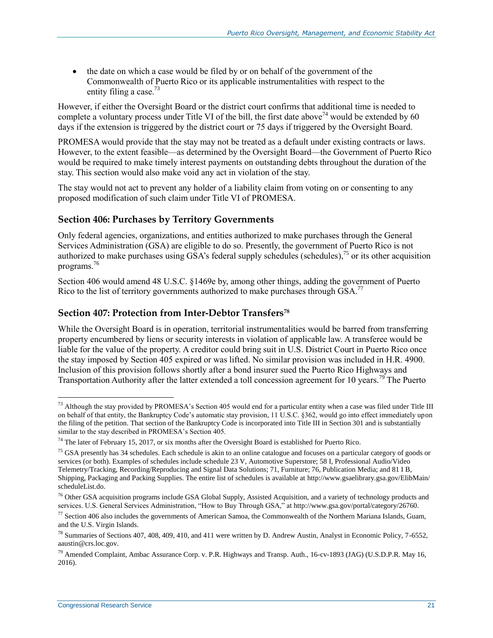• the date on which a case would be filed by or on behalf of the government of the Commonwealth of Puerto Rico or its applicable instrumentalities with respect to the entity filing a case.<sup>73</sup>

However, if either the Oversight Board or the district court confirms that additional time is needed to complete a voluntary process under Title VI of the bill, the first date above<sup>74</sup> would be extended by 60 days if the extension is triggered by the district court or 75 days if triggered by the Oversight Board.

PROMESA would provide that the stay may not be treated as a default under existing contracts or laws. However, to the extent feasible—as determined by the Oversight Board—the Government of Puerto Rico would be required to make timely interest payments on outstanding debts throughout the duration of the stay. This section would also make void any act in violation of the stay.

The stay would not act to prevent any holder of a liability claim from voting on or consenting to any proposed modification of such claim under Title VI of PROMESA.

#### **Section 406: Purchases by Territory Governments**

Only federal agencies, organizations, and entities authorized to make purchases through the General Services Administration (GSA) are eligible to do so. Presently, the government of Puerto Rico is not authorized to make purchases using GSA's federal supply schedules (schedules),<sup>75</sup> or its other acquisition programs.<sup>76</sup>

Section 406 would amend 48 U.S.C. §1469e by, among other things, adding the government of Puerto Rico to the list of territory governments authorized to make purchases through GSA.<sup>77</sup>

#### **Section 407: Protection from Inter-Debtor Transfers<sup>78</sup>**

While the Oversight Board is in operation, territorial instrumentalities would be barred from transferring property encumbered by liens or security interests in violation of applicable law. A transferee would be liable for the value of the property. A creditor could bring suit in U.S. District Court in Puerto Rico once the stay imposed by Section 405 expired or was lifted. No similar provision was included in [H.R. 4900.](http://www.congress.gov/cgi-lis/bdquery/z?d114:H.R.4900:) Inclusion of this provision follows shortly after a bond insurer sued the Puerto Rico Highways and Transportation Authority after the latter extended a toll concession agreement for 10 years.<sup>79</sup> The Puerto

<sup>&</sup>lt;sup>73</sup> Although the stay provided by PROMESA's Section 405 would end for a particular entity when a case was filed under Title III on behalf of that entity, the Bankruptcy Code's automatic stay provision, 11 U.S.C. §362, would go into effect immediately upon the filing of the petition. That section of the Bankruptcy Code is incorporated into Title III in Section 301 and is substantially similar to the stay described in PROMESA's Section 405.

<sup>&</sup>lt;sup>74</sup> The later of February 15, 2017, or six months after the Oversight Board is established for Puerto Rico.

<sup>&</sup>lt;sup>75</sup> GSA presently has 34 schedules. Each schedule is akin to an online catalogue and focuses on a particular category of goods or services (or both). Examples of schedules include schedule 23 V, Automotive Superstore; 58 I, Professional Audio/Video Telemetry/Tracking, Recording/Reproducing and Signal Data Solutions; 71, Furniture; 76, Publication Media; and 81 I B, Shipping, Packaging and Packing Supplies. The entire list of schedules is available at http://www.gsaelibrary.gsa.gov/ElibMain/ scheduleList.do.

<sup>&</sup>lt;sup>76</sup> Other GSA acquisition programs include GSA Global Supply, Assisted Acquisition, and a variety of technology products and services. U.S. General Services Administration, "How to Buy Through GSA," at http://www.gsa.gov/portal/category/26760.

 $^{77}$  Section 406 also includes the governments of American Samoa, the Commonwealth of the Northern Mariana Islands, Guam, and the U.S. Virgin Islands.

<sup>78</sup> Summaries of Sections 407, 408, 409, 410, and 411 were written by D. Andrew Austin, Analyst in Economic Policy, 7-6552, aaustin@crs.loc.gov.

<sup>79</sup> Amended Complaint, Ambac Assurance Corp. v. P.R. Highways and Transp. Auth., 16-cv-1893 (JAG) (U.S.D.P.R. May 16, 2016).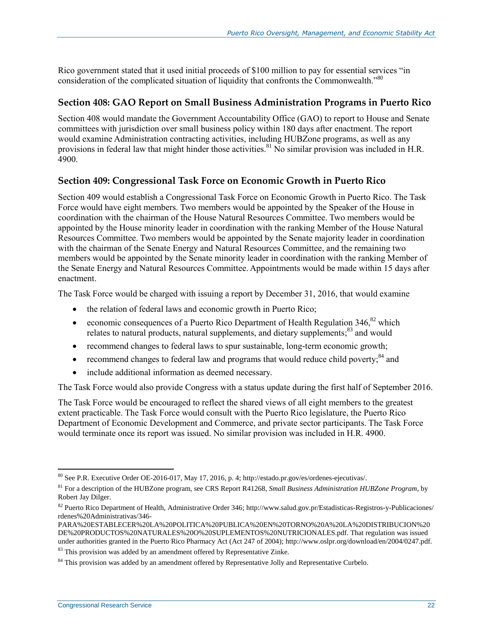Rico government stated that it used initial proceeds of \$100 million to pay for essential services "in consideration of the complicated situation of liquidity that confronts the Commonwealth."<sup>80</sup>

#### **Section 408: GAO Report on Small Business Administration Programs in Puerto Rico**

Section 408 would mandate the Government Accountability Office (GAO) to report to House and Senate committees with jurisdiction over small business policy within 180 days after enactment. The report would examine Administration contracting activities, including HUBZone programs, as well as any provisions in federal law that might hinder those activities.<sup>81</sup> No similar provision was included in H.R. 4900.

#### **Section 409: Congressional Task Force on Economic Growth in Puerto Rico**

Section 409 would establish a Congressional Task Force on Economic Growth in Puerto Rico. The Task Force would have eight members. Two members would be appointed by the Speaker of the House in coordination with the chairman of the House Natural Resources Committee. Two members would be appointed by the House minority leader in coordination with the ranking Member of the House Natural Resources Committee. Two members would be appointed by the Senate majority leader in coordination with the chairman of the Senate Energy and Natural Resources Committee, and the remaining two members would be appointed by the Senate minority leader in coordination with the ranking Member of the Senate Energy and Natural Resources Committee. Appointments would be made within 15 days after enactment.

The Task Force would be charged with issuing a report by December 31, 2016, that would examine

- the relation of federal laws and economic growth in Puerto Rico;
- economic consequences of a Puerto Rico Department of Health Regulation  $346$ <sup>82</sup> which relates to natural products, natural supplements, and dietary supplements;<sup>83</sup> and would
- recommend changes to federal laws to spur sustainable, long-term economic growth;
- recommend changes to federal law and programs that would reduce child poverty; $^{84}$  and
- include additional information as deemed necessary.

The Task Force would also provide Congress with a status update during the first half of September 2016.

The Task Force would be encouraged to reflect the shared views of all eight members to the greatest extent practicable. The Task Force would consult with the Puerto Rico legislature, the Puerto Rico Department of Economic Development and Commerce, and private sector participants. The Task Force would terminate once its report was issued. No similar provision was included in [H.R. 4900.](http://www.congress.gov/cgi-lis/bdquery/z?d114:H.R.4900:)

 $\overline{a}$  $80$  See P.R. Executive Order OE-2016-017, May 17, 2016, p. 4; http://estado.pr.gov/es/ordenes-ejecutivas/.

<sup>81</sup> For a description of the HUBZone program, see CRS Report R41268, *Small Business Administration HUBZone Program*, by Robert Jay Dilger.

<sup>82</sup> Puerto Rico Department of Health, Administrative Order 346; http://www.salud.gov.pr/Estadisticas-Registros-y-Publicaciones/ rdenes%20Administrativas/346-

PARA%20ESTABLECER%20LA%20POLITICA%20PUBLICA%20EN%20TORNO%20A%20LA%20DISTRIBUCION%20 DE%20PRODUCTOS%20NATURALES%20O%20SUPLEMENTOS%20NUTRICIONALES.pdf. That regulation was issued under authorities granted in the Puerto Rico Pharmacy Act (Act 247 of 2004); http://www.oslpr.org/download/en/2004/0247.pdf.

<sup>&</sup>lt;sup>83</sup> This provision was added by an amendment offered by Representative Zinke.

<sup>&</sup>lt;sup>84</sup> This provision was added by an amendment offered by Representative Jolly and Representative Curbelo.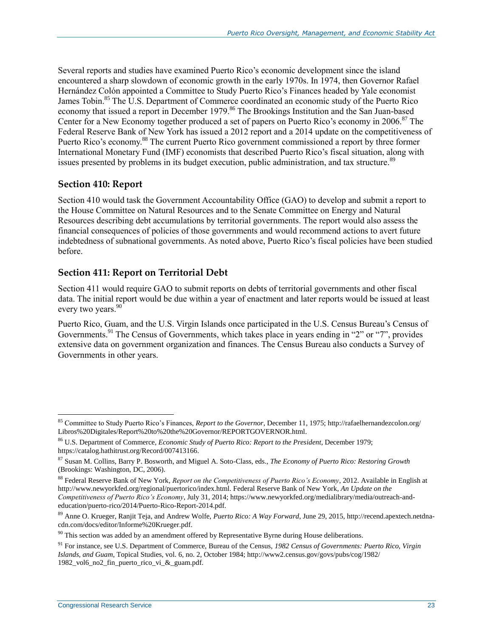Several reports and studies have examined Puerto Rico's economic development since the island encountered a sharp slowdown of economic growth in the early 1970s. In 1974, then Governor Rafael Hernández Colón appointed a Committee to Study Puerto Rico's Finances headed by Yale economist James Tobin.<sup>85</sup> The U.S. Department of Commerce coordinated an economic study of the Puerto Rico economy that issued a report in December 1979.<sup>86</sup> The Brookings Institution and the San Juan-based Center for a New Economy together produced a set of papers on Puerto Rico's economy in 2006.<sup>87</sup> The Federal Reserve Bank of New York has issued a 2012 report and a 2014 update on the competitiveness of Puerto Rico's economy.<sup>88</sup> The current Puerto Rico government commissioned a report by three former International Monetary Fund (IMF) economists that described Puerto Rico's fiscal situation, along with issues presented by problems in its budget execution, public administration, and tax structure.<sup>89</sup>

#### **Section 410: Report**

Section 410 would task the Government Accountability Office (GAO) to develop and submit a report to the House Committee on Natural Resources and to the Senate Committee on Energy and Natural Resources describing debt accumulations by territorial governments. The report would also assess the financial consequences of policies of those governments and would recommend actions to avert future indebtedness of subnational governments. As noted above, Puerto Rico's fiscal policies have been studied before.

#### **Section 411: Report on Territorial Debt**

Section 411 would require GAO to submit reports on debts of territorial governments and other fiscal data. The initial report would be due within a year of enactment and later reports would be issued at least every two years.<sup>90</sup>

Puerto Rico, Guam, and the U.S. Virgin Islands once participated in the U.S. Census Bureau's Census of Governments.<sup>91</sup> The Census of Governments, which takes place in years ending in "2" or "7", provides extensive data on government organization and finances. The Census Bureau also conducts a Survey of Governments in other years.

 $\overline{a}$ <sup>85</sup> Committee to Study Puerto Rico's Finances, *Report to the Governor*, December 11, 1975; http://rafaelhernandezcolon.org/ Libros%20Digitales/Report%20to%20the%20Governor/REPORTGOVERNOR.html.

<sup>86</sup> U.S. Department of Commerce*, Economic Study of Puerto Rico: Report to the President*, December 1979; https://catalog.hathitrust.org/Record/007413166.

<sup>87</sup> Susan M. Collins, Barry P. Bosworth, and Miguel A. Soto-Class, eds., *The Economy of Puerto Rico: Restoring Growth* (Brookings: Washington, DC, 2006).

<sup>88</sup> Federal Reserve Bank of New York, *Report on the Competitiveness of Puerto Rico's Economy*, 2012. Available in English at http://www.newyorkfed.org/regional/puertorico/index.html. Federal Reserve Bank of New York, *An Update on the Competitiveness of Puerto Rico's Economy*, July 31, 2014; https://www.newyorkfed.org/medialibrary/media/outreach-andeducation/puerto-rico/2014/Puerto-Rico-Report-2014.pdf.

<sup>89</sup> Anne O. Krueger, Ranjit Teja, and Andrew Wolfe, *Puerto Rico: A Way Forward*, June 29, 2015, http://recend.apextech.netdnacdn.com/docs/editor/Informe%20Krueger.pdf.

 $90$  This section was added by an amendment offered by Representative Byrne during House deliberations.

<sup>91</sup> For instance, see U.S. Department of Commerce, Bureau of the Census, *1982 Census of Governments: Puerto Rico, Virgin Islands, and Guam*, Topical Studies, vol. 6, no. 2, October 1984; http://www2.census.gov/govs/pubs/cog/1982/ 1982\_vol6\_no2\_fin\_puerto\_rico\_vi\_&\_guam.pdf.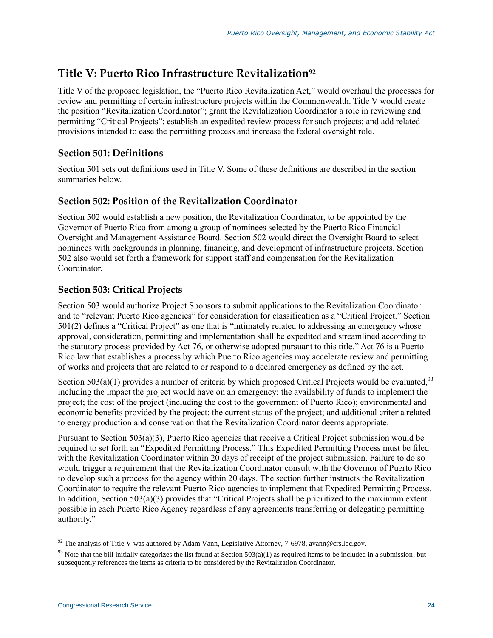## **Title V: Puerto Rico Infrastructure Revitalization<sup>92</sup>**

Title V of the proposed legislation, the "Puerto Rico Revitalization Act," would overhaul the processes for review and permitting of certain infrastructure projects within the Commonwealth. Title V would create the position "Revitalization Coordinator"; grant the Revitalization Coordinator a role in reviewing and permitting "Critical Projects"; establish an expedited review process for such projects; and add related provisions intended to ease the permitting process and increase the federal oversight role.

#### **Section 501: Definitions**

Section 501 sets out definitions used in Title V. Some of these definitions are described in the section summaries below.

#### **Section 502: Position of the Revitalization Coordinator**

Section 502 would establish a new position, the Revitalization Coordinator, to be appointed by the Governor of Puerto Rico from among a group of nominees selected by the Puerto Rico Financial Oversight and Management Assistance Board. Section 502 would direct the Oversight Board to select nominees with backgrounds in planning, financing, and development of infrastructure projects. Section 502 also would set forth a framework for support staff and compensation for the Revitalization Coordinator.

#### **Section 503: Critical Projects**

Section 503 would authorize Project Sponsors to submit applications to the Revitalization Coordinator and to "relevant Puerto Rico agencies" for consideration for classification as a "Critical Project." Section 501(2) defines a "Critical Project" as one that is "intimately related to addressing an emergency whose approval, consideration, permitting and implementation shall be expedited and streamlined according to the statutory process provided by Act 76, or otherwise adopted pursuant to this title." Act 76 is a Puerto Rico law that establishes a process by which Puerto Rico agencies may accelerate review and permitting of works and projects that are related to or respond to a declared emergency as defined by the act.

Section 503(a)(1) provides a number of criteria by which proposed Critical Projects would be evaluated,<sup>93</sup> including the impact the project would have on an emergency; the availability of funds to implement the project; the cost of the project (including the cost to the government of Puerto Rico); environmental and economic benefits provided by the project; the current status of the project; and additional criteria related to energy production and conservation that the Revitalization Coordinator deems appropriate.

Pursuant to Section 503(a)(3), Puerto Rico agencies that receive a Critical Project submission would be required to set forth an "Expedited Permitting Process." This Expedited Permitting Process must be filed with the Revitalization Coordinator within 20 days of receipt of the project submission. Failure to do so would trigger a requirement that the Revitalization Coordinator consult with the Governor of Puerto Rico to develop such a process for the agency within 20 days. The section further instructs the Revitalization Coordinator to require the relevant Puerto Rico agencies to implement that Expedited Permitting Process. In addition, Section 503(a)(3) provides that "Critical Projects shall be prioritized to the maximum extent possible in each Puerto Rico Agency regardless of any agreements transferring or delegating permitting authority."

 $92$  The analysis of Title V was authored by Adam Vann, Legislative Attorney, 7-6978, avann@crs.loc.gov.

 $93$  Note that the bill initially categorizes the list found at Section 503(a)(1) as required items to be included in a submission, but subsequently references the items as criteria to be considered by the Revitalization Coordinator.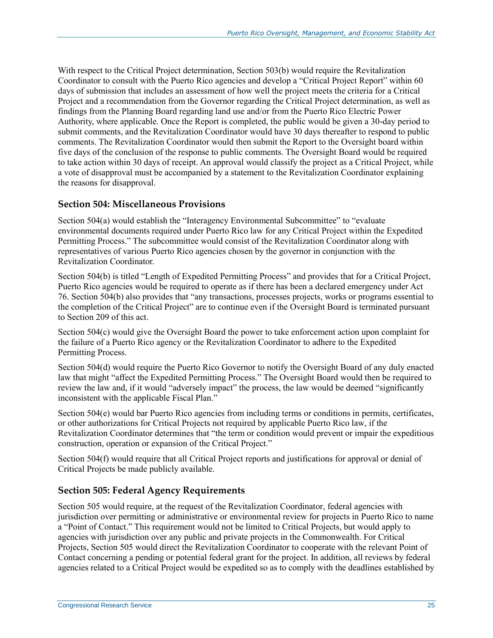With respect to the Critical Project determination, Section 503(b) would require the Revitalization Coordinator to consult with the Puerto Rico agencies and develop a "Critical Project Report" within 60 days of submission that includes an assessment of how well the project meets the criteria for a Critical Project and a recommendation from the Governor regarding the Critical Project determination, as well as findings from the Planning Board regarding land use and/or from the Puerto Rico Electric Power Authority, where applicable. Once the Report is completed, the public would be given a 30-day period to submit comments, and the Revitalization Coordinator would have 30 days thereafter to respond to public comments. The Revitalization Coordinator would then submit the Report to the Oversight board within five days of the conclusion of the response to public comments. The Oversight Board would be required to take action within 30 days of receipt. An approval would classify the project as a Critical Project, while a vote of disapproval must be accompanied by a statement to the Revitalization Coordinator explaining the reasons for disapproval.

#### **Section 504: Miscellaneous Provisions**

Section 504(a) would establish the "Interagency Environmental Subcommittee" to "evaluate environmental documents required under Puerto Rico law for any Critical Project within the Expedited Permitting Process." The subcommittee would consist of the Revitalization Coordinator along with representatives of various Puerto Rico agencies chosen by the governor in conjunction with the Revitalization Coordinator.

Section 504(b) is titled "Length of Expedited Permitting Process" and provides that for a Critical Project, Puerto Rico agencies would be required to operate as if there has been a declared emergency under Act 76. Section 504(b) also provides that "any transactions, processes projects, works or programs essential to the completion of the Critical Project" are to continue even if the Oversight Board is terminated pursuant to Section 209 of this act.

Section 504(c) would give the Oversight Board the power to take enforcement action upon complaint for the failure of a Puerto Rico agency or the Revitalization Coordinator to adhere to the Expedited Permitting Process.

Section 504(d) would require the Puerto Rico Governor to notify the Oversight Board of any duly enacted law that might "affect the Expedited Permitting Process." The Oversight Board would then be required to review the law and, if it would "adversely impact" the process, the law would be deemed "significantly inconsistent with the applicable Fiscal Plan."

Section 504(e) would bar Puerto Rico agencies from including terms or conditions in permits, certificates, or other authorizations for Critical Projects not required by applicable Puerto Rico law, if the Revitalization Coordinator determines that "the term or condition would prevent or impair the expeditious construction, operation or expansion of the Critical Project."

Section 504(f) would require that all Critical Project reports and justifications for approval or denial of Critical Projects be made publicly available.

#### **Section 505: Federal Agency Requirements**

Section 505 would require, at the request of the Revitalization Coordinator, federal agencies with jurisdiction over permitting or administrative or environmental review for projects in Puerto Rico to name a "Point of Contact." This requirement would not be limited to Critical Projects, but would apply to agencies with jurisdiction over any public and private projects in the Commonwealth. For Critical Projects, Section 505 would direct the Revitalization Coordinator to cooperate with the relevant Point of Contact concerning a pending or potential federal grant for the project. In addition, all reviews by federal agencies related to a Critical Project would be expedited so as to comply with the deadlines established by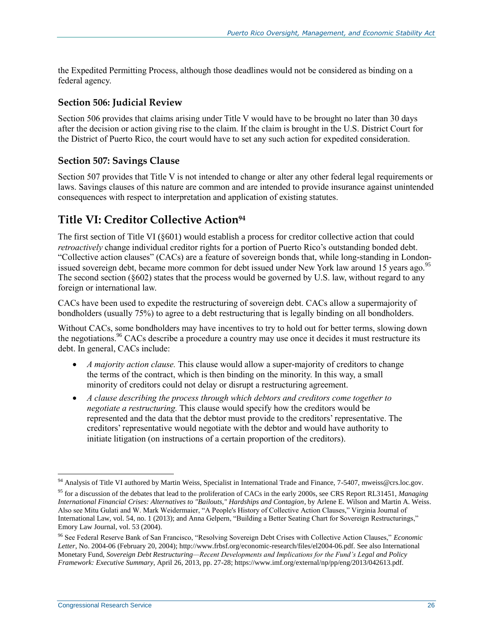the Expedited Permitting Process, although those deadlines would not be considered as binding on a federal agency.

#### **Section 506: Judicial Review**

Section 506 provides that claims arising under Title V would have to be brought no later than 30 days after the decision or action giving rise to the claim. If the claim is brought in the U.S. District Court for the District of Puerto Rico, the court would have to set any such action for expedited consideration.

#### **Section 507: Savings Clause**

Section 507 provides that Title V is not intended to change or alter any other federal legal requirements or laws. Savings clauses of this nature are common and are intended to provide insurance against unintended consequences with respect to interpretation and application of existing statutes.

## **Title VI: Creditor Collective Action<sup>94</sup>**

The first section of Title VI (§601) would establish a process for creditor collective action that could *retroactively* change individual creditor rights for a portion of Puerto Rico's outstanding bonded debt. "Collective action clauses" (CACs) are a feature of sovereign bonds that, while long-standing in Londonissued sovereign debt, became more common for debt issued under New York law around 15 years ago.<sup>95</sup> The second section (§602) states that the process would be governed by U.S. law, without regard to any foreign or international law.

CACs have been used to expedite the restructuring of sovereign debt. CACs allow a supermajority of bondholders (usually 75%) to agree to a debt restructuring that is legally binding on all bondholders.

Without CACs, some bondholders may have incentives to try to hold out for better terms, slowing down the negotiations.<sup>96</sup> CACs describe a procedure a country may use once it decides it must restructure its debt. In general, CACs include:

- *A majority action clause*. This clause would allow a super-majority of creditors to change the terms of the contract, which is then binding on the minority. In this way, a small minority of creditors could not delay or disrupt a restructuring agreement.
- *A clause describing the process through which debtors and creditors come together to negotiate a restructuring.* This clause would specify how the creditors would be represented and the data that the debtor must provide to the creditors' representative. The creditors' representative would negotiate with the debtor and would have authority to initiate litigation (on instructions of a certain proportion of the creditors).

<sup>&</sup>lt;sup>94</sup> Analysis of Title VI authored by Martin Weiss, Specialist in International Trade and Finance, 7-5407, mweiss@crs.loc.gov.

<sup>95</sup> for a discussion of the debates that lead to the proliferation of CACs in the early 2000s, see CRS Report RL31451, *Managing International Financial Crises: Alternatives to "Bailouts," Hardships and Contagion*, by Arlene E. Wilson and Martin A. Weiss. Also see Mitu Gulati and W. Mark Weidermaier, "A People's History of Collective Action Clauses," Virginia Journal of International Law, vol. 54, no. 1 (2013); and Anna Gelpern, "Building a Better Seating Chart for Sovereign Restructurings," Emory Law Journal, vol. 53 (2004).

<sup>96</sup> See Federal Reserve Bank of San Francisco, "Resolving Sovereign Debt Crises with Collective Action Clauses," *Economic Letter*, No. 2004-06 (February 20, 2004); http://www.frbsf.org/economic-research/files/el2004-06.pdf. See also International Monetary Fund, *Sovereign Debt Restructuring—Recent Developments and Implications for the Fund's Legal and Policy Framework: Executive Summary*, April 26, 2013, pp. 27-28; https://www.imf.org/external/np/pp/eng/2013/042613.pdf.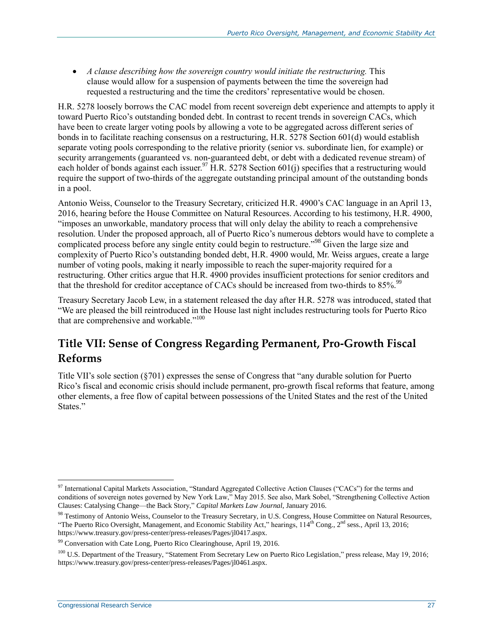*A clause describing how the sovereign country would initiate the restructuring.* This clause would allow for a suspension of payments between the time the sovereign had requested a restructuring and the time the creditors' representative would be chosen.

H.R. 5278 loosely borrows the CAC model from recent sovereign debt experience and attempts to apply it toward Puerto Rico's outstanding bonded debt. In contrast to recent trends in sovereign CACs, which have been to create larger voting pools by allowing a vote to be aggregated across different series of bonds in to facilitate reaching consensus on a restructuring, [H.R. 5278](http://www.congress.gov/cgi-lis/bdquery/z?d114:H.R.5278:) Section 601(d) would establish separate voting pools corresponding to the relative priority (senior vs. subordinate lien, for example) or security arrangements (guaranteed vs. non-guaranteed debt, or debt with a dedicated revenue stream) of each holder of bonds against each issuer.<sup>97</sup> H.R. 5278 Section 601(j) specifies that a restructuring would require the support of two-thirds of the aggregate outstanding principal amount of the outstanding bonds in a pool.

Antonio Weiss, Counselor to the Treasury Secretary, criticized [H.R. 4900'](http://www.congress.gov/cgi-lis/bdquery/z?d114:H.R.4900:)s CAC language in an April 13, 2016, hearing before the House Committee on Natural Resources. According to his testimony, H.R. 4900, "imposes an unworkable, mandatory process that will only delay the ability to reach a comprehensive resolution. Under the proposed approach, all of Puerto Rico's numerous debtors would have to complete a complicated process before any single entity could begin to restructure."<sup>98</sup> Given the large size and complexity of Puerto Rico's outstanding bonded debt, [H.R. 4900](http://www.congress.gov/cgi-lis/bdquery/z?d114:H.R.4900:) would, Mr. Weiss argues, create a large number of voting pools, making it nearly impossible to reach the super-majority required for a restructuring. Other critics argue that H.R. 4900 provides insufficient protections for senior creditors and that the threshold for creditor acceptance of CACs should be increased from two-thirds to 85%.<sup>99</sup>

Treasury Secretary Jacob Lew, in a statement released the day after [H.R. 5278](http://www.congress.gov/cgi-lis/bdquery/z?d114:H.R.5278:) was introduced, stated that "We are pleased the bill reintroduced in the House last night includes restructuring tools for Puerto Rico that are comprehensive and workable."<sup>100</sup>

## **Title VII: Sense of Congress Regarding Permanent, Pro-Growth Fiscal Reforms**

Title VII's sole section (§701) expresses the sense of Congress that "any durable solution for Puerto Rico's fiscal and economic crisis should include permanent, pro-growth fiscal reforms that feature, among other elements, a free flow of capital between possessions of the United States and the rest of the United States."

 $\overline{a}$  $97$  International Capital Markets Association, "Standard Aggregated Collective Action Clauses ("CACs") for the terms and conditions of sovereign notes governed by New York Law," May 2015. See also, Mark Sobel, "Strengthening Collective Action Clauses: Catalysing Change—the Back Story," *Capital Markets Law Journal*, January 2016.

<sup>&</sup>lt;sup>98</sup> Testimony of Antonio Weiss, Counselor to the Treasury Secretary, in U.S. Congress, House Committee on Natural Resources, "The Puerto Rico Oversight, Management, and Economic Stability Act," hearings,  $114<sup>th</sup>$  Cong.,  $2<sup>nd</sup>$  sess., April 13, 2016; https://www.treasury.gov/press-center/press-releases/Pages/jl0417.aspx.

<sup>&</sup>lt;sup>99</sup> Conversation with Cate Long, Puerto Rico Clearinghouse, April 19, 2016.

<sup>&</sup>lt;sup>100</sup> U.S. Department of the Treasury, "Statement From Secretary Lew on Puerto Rico Legislation," press release, May 19, 2016; https://www.treasury.gov/press-center/press-releases/Pages/jl0461.aspx.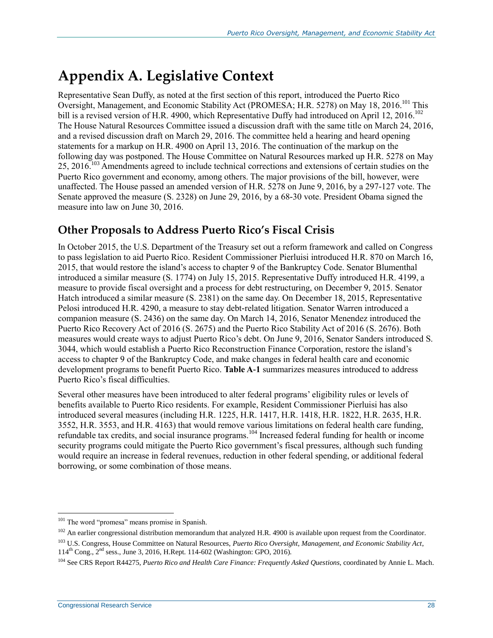## <span id="page-32-0"></span>**Appendix A. Legislative Context**

Representative Sean Duffy, as noted at the first section of this report, introduced the Puerto Rico Oversight, Management, and Economic Stability Act (PROMESA; H.R. 5278) on May 18, 2016.<sup>101</sup> This bill is a revised version of [H.R. 4900,](http://www.congress.gov/cgi-lis/bdquery/z?d114:H.R.4900:) which Representative Duffy had introduced on April 12, 2016.<sup>102</sup> The House Natural Resources Committee issued a discussion draft with the same title on March 24, 2016, and a revised discussion draft on March 29, 2016. The committee held a hearing and heard opening statements for a markup on H.R. 4900 on April 13, 2016. The continuation of the markup on the following day was postponed. The House Committee on Natural Resources marked up [H.R. 5278](http://www.congress.gov/cgi-lis/bdquery/z?d114:H.R.5278:) on May 25, 2016.<sup>103</sup> Amendments agreed to include technical corrections and extensions of certain studies on the Puerto Rico government and economy, among others. The major provisions of the bill, however, were unaffected. The House passed an amended version of H.R. 5278 on June 9, 2016, by a 297-127 vote. The Senate approved the measure [\(S. 2328\)](http://www.congress.gov/cgi-lis/bdquery/z?d114:S.2328:) on June 29, 2016, by a 68-30 vote. President Obama signed the measure into law on June 30, 2016.

## **Other Proposals to Address Puerto Rico's Fiscal Crisis**

In October 2015, the U.S. Department of the Treasury set out a reform framework and called on Congress to pass legislation to aid Puerto Rico. Resident Commissioner Pierluisi introduced H.R. 870 on March 16, 2015, that would restore the island's access to chapter 9 of the Bankruptcy Code. Senator Blumenthal introduced a similar measure [\(S. 1774\)](http://www.congress.gov/cgi-lis/bdquery/z?d114:S.1774:) on July 15, 2015. Representative Duffy introduced H.R. 4199, a measure to provide fiscal oversight and a process for debt restructuring, on December 9, 2015. Senator Hatch introduced a similar measure [\(S. 2381\)](http://www.congress.gov/cgi-lis/bdquery/z?d114:S.2381:) on the same day. On December 18, 2015, Representative Pelosi introduced H.R. 4290, a measure to stay debt-related litigation. Senator Warren introduced a companion measure [\(S. 2436\)](http://www.congress.gov/cgi-lis/bdquery/z?d114:S.2436:) on the same day. On March 14, 2016, Senator Menendez introduced the Puerto Rico Recovery Act of 2016 (S. 2675) and the Puerto Rico Stability Act of 2016 [\(S. 2676\)](http://www.congress.gov/cgi-lis/bdquery/z?d114:S.2676:). Both measures would create ways to adjust Puerto Rico's debt. On June 9, 2016, Senator Sanders introduced S. 3044, which would establish a Puerto Rico Reconstruction Finance Corporation, restore the island's access to chapter 9 of the Bankruptcy Code, and make changes in federal health care and economic development programs to benefit Puerto Rico. **[Table A-1](#page-33-0)** summarizes measures introduced to address Puerto Rico's fiscal difficulties.

Several other measures have been introduced to alter federal programs' eligibility rules or levels of benefits available to Puerto Rico residents. For example, Resident Commissioner Pierluisi has also introduced several measures (including [H.R. 1225,](http://www.congress.gov/cgi-lis/bdquery/z?d114:H.R.1225:) H.R. 1417, [H.R. 1418,](http://www.congress.gov/cgi-lis/bdquery/z?d114:H.R.1418:) H.R. 1822, [H.R. 2635,](http://www.congress.gov/cgi-lis/bdquery/z?d114:H.R.2635:) H.R. 3552, [H.R. 3553,](http://www.congress.gov/cgi-lis/bdquery/z?d114:H.R.3553:) and H.R. 4163) that would remove various limitations on federal health care funding, refundable tax credits, and social insurance programs.<sup>104</sup> Increased federal funding for health or income security programs could mitigate the Puerto Rico government's fiscal pressures, although such funding would require an increase in federal revenues, reduction in other federal spending, or additional federal borrowing, or some combination of those means.

<sup>&</sup>lt;sup>101</sup> The word "promesa" means promise in Spanish.

 $102$  An earlier congressional distribution memorandum that analyzed H.R. 4900 is available upon request from the Coordinator.

<sup>103</sup> U.S. Congress, House Committee on Natural Resources, *Puerto Rico Oversight, Management, and Economic Stability Act*, 114th Cong., 2nd sess., June 3, 2016, H.Rept. 114-602 (Washington: GPO, 2016).

<sup>104</sup> See CRS Report R44275, *Puerto Rico and Health Care Finance: Frequently Asked Questions*, coordinated by Annie L. Mach.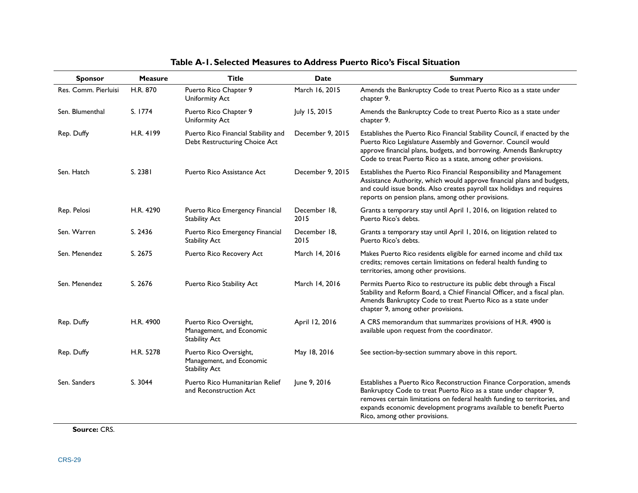<span id="page-33-0"></span>

| <b>Sponsor</b>       | <b>Measure</b> | <b>Title</b>                                                               | <b>Date</b>          | <b>Summary</b>                                                                                                                                                                                                                                                                                                              |
|----------------------|----------------|----------------------------------------------------------------------------|----------------------|-----------------------------------------------------------------------------------------------------------------------------------------------------------------------------------------------------------------------------------------------------------------------------------------------------------------------------|
| Res. Comm. Pierluisi | H.R. 870       | Puerto Rico Chapter 9<br>Uniformity Act                                    | March 16, 2015       | Amends the Bankruptcy Code to treat Puerto Rico as a state under<br>chapter 9.                                                                                                                                                                                                                                              |
| Sen. Blumenthal      | S. 1774        | Puerto Rico Chapter 9<br>Uniformity Act                                    | July 15, 2015        | Amends the Bankruptcy Code to treat Puerto Rico as a state under<br>chapter 9.                                                                                                                                                                                                                                              |
| Rep. Duffy           | H.R. 4199      | Puerto Rico Financial Stability and<br>Debt Restructuring Choice Act       | December 9, 2015     | Establishes the Puerto Rico Financial Stability Council, if enacted by the<br>Puerto Rico Legislature Assembly and Governor. Council would<br>approve financial plans, budgets, and borrowing. Amends Bankruptcy<br>Code to treat Puerto Rico as a state, among other provisions.                                           |
| Sen. Hatch           | S. 2381        | Puerto Rico Assistance Act                                                 | December 9, 2015     | Establishes the Puerto Rico Financial Responsibility and Management<br>Assistance Authority, which would approve financial plans and budgets,<br>and could issue bonds. Also creates payroll tax holidays and requires<br>reports on pension plans, among other provisions.                                                 |
| Rep. Pelosi          | H.R. 4290      | Puerto Rico Emergency Financial<br><b>Stability Act</b>                    | December 18,<br>2015 | Grants a temporary stay until April 1, 2016, on litigation related to<br>Puerto Rico's debts.                                                                                                                                                                                                                               |
| Sen. Warren          | S. 2436        | Puerto Rico Emergency Financial<br><b>Stability Act</b>                    | December 18,<br>2015 | Grants a temporary stay until April 1, 2016, on litigation related to<br>Puerto Rico's debts.                                                                                                                                                                                                                               |
| Sen. Menendez        | S. 2675        | Puerto Rico Recovery Act                                                   | March 14, 2016       | Makes Puerto Rico residents eligible for earned income and child tax<br>credits; removes certain limitations on federal health funding to<br>territories, among other provisions.                                                                                                                                           |
| Sen. Menendez        | S. 2676        | Puerto Rico Stability Act                                                  | March 14, 2016       | Permits Puerto Rico to restructure its public debt through a Fiscal<br>Stability and Reform Board, a Chief Financial Officer, and a fiscal plan.<br>Amends Bankruptcy Code to treat Puerto Rico as a state under<br>chapter 9, among other provisions.                                                                      |
| Rep. Duffy           | H.R. 4900      | Puerto Rico Oversight,<br>Management, and Economic<br><b>Stability Act</b> | April 12, 2016       | A CRS memorandum that summarizes provisions of H.R. 4900 is<br>available upon request from the coordinator.                                                                                                                                                                                                                 |
| Rep. Duffy           | H.R. 5278      | Puerto Rico Oversight,<br>Management, and Economic<br><b>Stability Act</b> | May 18, 2016         | See section-by-section summary above in this report.                                                                                                                                                                                                                                                                        |
| Sen. Sanders         | S. 3044        | Puerto Rico Humanitarian Relief<br>and Reconstruction Act                  | June 9, 2016         | Establishes a Puerto Rico Reconstruction Finance Corporation, amends<br>Bankruptcy Code to treat Puerto Rico as a state under chapter 9,<br>removes certain limitations on federal health funding to territories, and<br>expands economic development programs available to benefit Puerto<br>Rico, among other provisions. |

#### **Table A-1. Selected Measures to Address Puerto Rico's Fiscal Situation**

**Source:** CRS.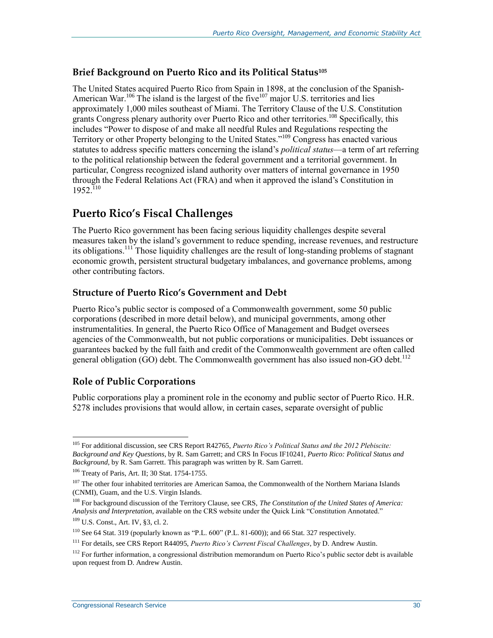#### **Brief Background on Puerto Rico and its Political Status<sup>105</sup>**

The United States acquired Puerto Rico from Spain in 1898, at the conclusion of the Spanish-American War.<sup>106</sup> The island is the largest of the five<sup>107</sup> major U.S. territories and lies approximately 1,000 miles southeast of Miami. The Territory Clause of the U.S. Constitution grants Congress plenary authority over Puerto Rico and other territories.<sup>108</sup> Specifically, this includes "Power to dispose of and make all needful Rules and Regulations respecting the Territory or other Property belonging to the United States."<sup>109</sup> Congress has enacted various statutes to address specific matters concerning the island's *political status*—a term of art referring to the political relationship between the federal government and a territorial government. In particular, Congress recognized island authority over matters of internal governance in 1950 through the Federal Relations Act (FRA) and when it approved the island's Constitution in 1952.110

### **Puerto Rico's Fiscal Challenges**

The Puerto Rico government has been facing serious liquidity challenges despite several measures taken by the island's government to reduce spending, increase revenues, and restructure its obligations.<sup>111</sup> Those liquidity challenges are the result of long-standing problems of stagnant economic growth, persistent structural budgetary imbalances, and governance problems, among other contributing factors.

#### **Structure of Puerto Rico's Government and Debt**

Puerto Rico's public sector is composed of a Commonwealth government, some 50 public corporations (described in more detail below), and municipal governments, among other instrumentalities. In general, the Puerto Rico Office of Management and Budget oversees agencies of the Commonwealth, but not public corporations or municipalities. Debt issuances or guarantees backed by the full faith and credit of the Commonwealth government are often called general obligation  $(GO)$  debt. The Commonwealth government has also issued non-GO debt.<sup>112</sup>

#### **Role of Public Corporations**

Public corporations play a prominent role in the economy and public sector of Puerto Rico. [H.R.](http://www.congress.gov/cgi-lis/bdquery/z?d114:H.R.5278:)  [5278](http://www.congress.gov/cgi-lis/bdquery/z?d114:H.R.5278:) includes provisions that would allow, in certain cases, separate oversight of public

<sup>105</sup> For additional discussion, see CRS Report R42765, *Puerto Rico's Political Status and the 2012 Plebiscite: Background and Key Questions*, by R. Sam Garrett; and CRS In Focus IF10241, *Puerto Rico: Political Status and Background*, by R. Sam Garrett. This paragraph was written by R. Sam Garrett.

<sup>106</sup> Treaty of Paris, Art. II; 30 Stat. 1754-1755.

<sup>&</sup>lt;sup>107</sup> The other four inhabited territories are American Samoa, the Commonwealth of the Northern Mariana Islands (CNMI), Guam, and the U.S. Virgin Islands.

<sup>108</sup> For background discussion of the Territory Clause, see CRS, *The Constitution of the United States of America: Analysis and Interpretation*, available on the CRS website under the Quick Link "Constitution Annotated."

<sup>109</sup> U.S. Const., Art. IV, §3, cl. 2.

 $110$  See 64 Stat. 319 (popularly known as "P.L. 600" (P.L. 81-600)); and 66 Stat. 327 respectively.

<sup>111</sup> For details, see CRS Report R44095, *Puerto Rico's Current Fiscal Challenges*, by D. Andrew Austin.

<sup>&</sup>lt;sup>112</sup> For further information, a congressional distribution memorandum on Puerto Rico's public sector debt is available upon request from D. Andrew Austin.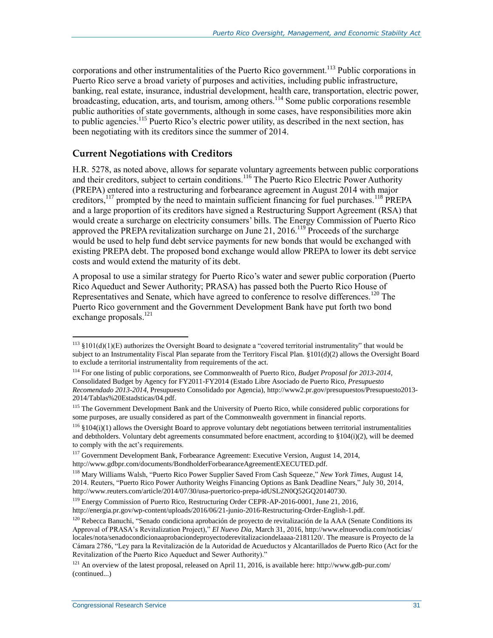corporations and other instrumentalities of the Puerto Rico government.<sup>113</sup> Public corporations in Puerto Rico serve a broad variety of purposes and activities, including public infrastructure, banking, real estate, insurance, industrial development, health care, transportation, electric power, broadcasting, education, arts, and tourism, among others.<sup>114</sup> Some public corporations resemble public authorities of state governments, although in some cases, have responsibilities more akin to public agencies.<sup>115</sup> Puerto Rico's electric power utility, as described in the next section, has been negotiating with its creditors since the summer of 2014.

#### **Current Negotiations with Creditors**

H.R. 5278, as noted above, allows for separate voluntary agreements between public corporations and their creditors, subject to certain conditions.<sup>116</sup> The Puerto Rico Electric Power Authority (PREPA) entered into a restructuring and forbearance agreement in August 2014 with major creditors,<sup>117</sup> prompted by the need to maintain sufficient financing for fuel purchases.<sup>118</sup> PREPA and a large proportion of its creditors have signed a Restructuring Support Agreement (RSA) that would create a surcharge on electricity consumers' bills. The Energy Commission of Puerto Rico approved the PREPA revitalization surcharge on June 21, 2016.<sup>119</sup> Proceeds of the surcharge would be used to help fund debt service payments for new bonds that would be exchanged with existing PREPA debt. The proposed bond exchange would allow PREPA to lower its debt service costs and would extend the maturity of its debt.

A proposal to use a similar strategy for Puerto Rico's water and sewer public corporation (Puerto Rico Aqueduct and Sewer Authority; PRASA) has passed both the Puerto Rico House of Representatives and Senate, which have agreed to conference to resolve differences.<sup>120</sup> The Puerto Rico government and the Government Development Bank have put forth two bond exchange proposals.<sup>121</sup>

 $\overline{a}$  $113$  §101(d)(1)(E) authorizes the Oversight Board to designate a "covered territorial instrumentality" that would be subject to an Instrumentality Fiscal Plan separate from the Territory Fiscal Plan. §101(d)(2) allows the Oversight Board to exclude a territorial instrumentality from requirements of the act.

<sup>114</sup> For one listing of public corporations, see Commonwealth of Puerto Rico, *Budget Proposal for 2013-2014*, Consolidated Budget by Agency for FY2011-FY2014 (Estado Libre Asociado de Puerto Rico, *Presupuesto Recomendado 2013-2014*, Presupuesto Consolidado por Agencia), http://www2.pr.gov/presupuestos/Presupuesto2013- 2014/Tablas%20Estadsticas/04.pdf.

<sup>&</sup>lt;sup>115</sup> The Government Development Bank and the University of Puerto Rico, while considered public corporations for some purposes, are usually considered as part of the Commonwealth government in financial reports.

 $116$  §104(i)(1) allows the Oversight Board to approve voluntary debt negotiations between territorial instrumentalities and debtholders. Voluntary debt agreements consummated before enactment, according to §104(i)(2), will be deemed to comply with the act's requirements.

<sup>&</sup>lt;sup>117</sup> Government Development Bank, Forbearance Agreement: Executive Version, August 14, 2014, http://www.gdbpr.com/documents/BondholderForbearanceAgreementEXECUTED.pdf.

<sup>118</sup> Mary Williams Walsh, "Puerto Rico Power Supplier Saved From Cash Squeeze," *New York Times*, August 14, 2014. Reuters, "Puerto Rico Power Authority Weighs Financing Options as Bank Deadline Nears," July 30, 2014, http://www.reuters.com/article/2014/07/30/usa-puertorico-prepa-idUSL2N0Q52GQ20140730.

<sup>119</sup> Energy Commission of Puerto Rico, Restructuring Order CEPR-AP-2016-0001, June 21, 2016, http://energia.pr.gov/wp-content/uploads/2016/06/21-junio-2016-Restructuring-Order-English-1.pdf.

 $120$  Rebecca Banuchi, "Senado condiciona aprobación de proyecto de revitalización de la AAA (Senate Conditions its Approval of PRASA's Revitalization Project)," *El Nuevo Dia*, March 31, 2016, http://www.elnuevodia.com/noticias/ locales/nota/senadocondicionaaprobaciondeproyectoderevitalizaciondelaaaa-2181120/. The measure is Proyecto de la Cámara 2786, "Ley para la Revitalización de la Autoridad de Acueductos y Alcantarillados de Puerto Rico (Act for the Revitalization of the Puerto Rico Aqueduct and Sewer Authority)."

 $121$  An overview of the latest proposal, released on April 11, 2016, is available here: http://www.gdb-pur.com/ (continued...)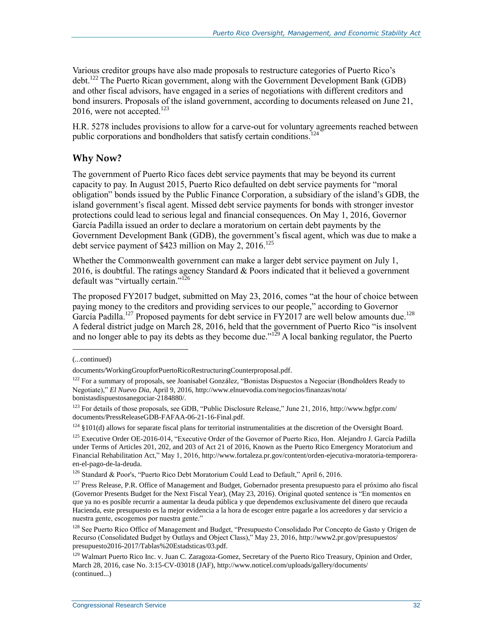Various creditor groups have also made proposals to restructure categories of Puerto Rico's debt.<sup>122</sup> The Puerto Rican government, along with the Government Development Bank (GDB) and other fiscal advisors, have engaged in a series of negotiations with different creditors and bond insurers. Proposals of the island government, according to documents released on June 21, 2016, were not accepted. $123$ 

[H.R. 5278](http://www.congress.gov/cgi-lis/bdquery/z?d114:H.R.5278:) includes provisions to allow for a carve-out for voluntary agreements reached between public corporations and bondholders that satisfy certain conditions.<sup>124</sup>

#### **Why Now?**

The government of Puerto Rico faces debt service payments that may be beyond its current capacity to pay. In August 2015, Puerto Rico defaulted on debt service payments for "moral obligation" bonds issued by the Public Finance Corporation, a subsidiary of the island's GDB, the island government's fiscal agent. Missed debt service payments for bonds with stronger investor protections could lead to serious legal and financial consequences. On May 1, 2016, Governor García Padilla issued an order to declare a moratorium on certain debt payments by the Government Development Bank (GDB), the government's fiscal agent, which was due to make a debt service payment of \$423 million on May 2,  $2016$ .<sup>125</sup>

Whether the Commonwealth government can make a larger debt service payment on July 1, 2016, is doubtful. The ratings agency Standard  $&$  Poors indicated that it believed a government default was "virtually certain."<sup>126</sup>

The proposed FY2017 budget, submitted on May 23, 2016, comes "at the hour of choice between paying money to the creditors and providing services to our people," according to Governor García Padilla.<sup>127</sup> Proposed payments for debt service in FY2017 are well below amounts due.<sup>128</sup> A federal district judge on March 28, 2016, held that the government of Puerto Rico "is insolvent and no longer able to pay its debts as they become due."<sup>129</sup> A local banking regulator, the Puerto

<sup>(...</sup>continued)

documents/WorkingGroupforPuertoRicoRestructuringCounterproposal.pdf.

<sup>&</sup>lt;sup>122</sup> For a summary of proposals, see Joanisabel González, "Bonistas Dispuestos a Negociar (Bondholders Ready to Negotiate)," *El Nuevo Dia*, April 9, 2016, http://www.elnuevodia.com/negocios/finanzas/nota/ bonistasdispuestosanegociar-2184880/.

<sup>123</sup> For details of those proposals, see GDB, "Public Disclosure Release," June 21, 2016, http://www.bgfpr.com/ documents/PressReleaseGDB-FAFAA-06-21-16-Final.pdf.

 $124$  §101(d) allows for separate fiscal plans for territorial instrumentalities at the discretion of the Oversight Board.

<sup>&</sup>lt;sup>125</sup> Executive Order OE-2016-014, "Executive Order of the Governor of Puerto Rico, Hon. Alejandro J. García Padilla under Terms of Articles 201, 202, and 203 of Act 21 of 2016, Known as the Puerto Rico Emergency Moratorium and Financial Rehabilitation Act," May 1, 2016, http://www.fortaleza.pr.gov/content/orden-ejecutiva-moratoria-temporeraen-el-pago-de-la-deuda.

<sup>&</sup>lt;sup>126</sup> Standard & Poor's, "Puerto Rico Debt Moratorium Could Lead to Default," April 6, 2016.

<sup>&</sup>lt;sup>127</sup> Press Release, P.R. Office of Management and Budget, Gobernador presenta presupuesto para el próximo año fiscal (Governor Presents Budget for the Next Fiscal Year), (May 23, 2016). Original quoted sentence is "En momentos en que ya no es posible recurrir a aumentar la deuda pública y que dependemos exclusivamente del dinero que recauda Hacienda, este presupuesto es la mejor evidencia a la hora de escoger entre pagarle a los acreedores y dar servicio a nuestra gente, escogemos por nuestra gente."

<sup>&</sup>lt;sup>128</sup> See Puerto Rico Office of Management and Budget, "Presupuesto Consolidado Por Concepto de Gasto y Origen de Recurso (Consolidated Budget by Outlays and Object Class)," May 23, 2016, http://www2.pr.gov/presupuestos/ presupuesto2016-2017/Tablas%20Estadsticas/03.pdf.

<sup>&</sup>lt;sup>129</sup> Walmart Puerto Rico Inc. v. Juan C. Zaragoza-Gomez, Secretary of the Puerto Rico Treasury, Opinion and Order, March 28, 2016, case No. 3:15-CV-03018 (JAF), http://www.noticel.com/uploads/gallery/documents/ (continued...)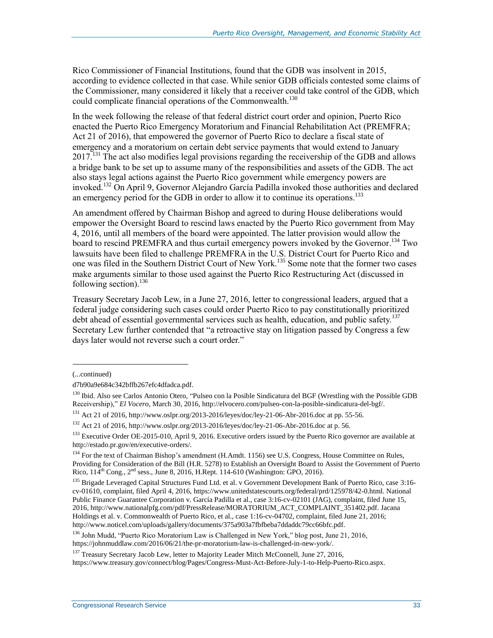Rico Commissioner of Financial Institutions, found that the GDB was insolvent in 2015, according to evidence collected in that case. While senior GDB officials contested some claims of the Commissioner, many considered it likely that a receiver could take control of the GDB, which could complicate financial operations of the Commonwealth.<sup>130</sup>

In the week following the release of that federal district court order and opinion, Puerto Rico enacted the Puerto Rico Emergency Moratorium and Financial Rehabilitation Act (PREMFRA; Act 21 of 2016), that empowered the governor of Puerto Rico to declare a fiscal state of emergency and a moratorium on certain debt service payments that would extend to January  $2017<sup>131</sup>$  The act also modifies legal provisions regarding the receivership of the GDB and allows a bridge bank to be set up to assume many of the responsibilities and assets of the GDB. The act also stays legal actions against the Puerto Rico government while emergency powers are invoked.<sup>132</sup> On April 9, Governor Alejandro García Padilla invoked those authorities and declared an emergency period for the GDB in order to allow it to continue its operations.<sup>133</sup>

An amendment offered by Chairman Bishop and agreed to during House deliberations would empower the Oversight Board to rescind laws enacted by the Puerto Rico government from May 4, 2016, until all members of the board were appointed. The latter provision would allow the board to rescind PREMFRA and thus curtail emergency powers invoked by the Governor.<sup>134</sup> Two lawsuits have been filed to challenge PREMFRA in the U.S. District Court for Puerto Rico and one was filed in the Southern District Court of New York.<sup>135</sup> Some note that the former two cases make arguments similar to those used against the Puerto Rico Restructuring Act (discussed in following section). 136

Treasury Secretary Jacob Lew, in a June 27, 2016, letter to congressional leaders, argued that a federal judge considering such cases could order Puerto Rico to pay constitutionally prioritized debt ahead of essential governmental services such as health, education, and public safety.<sup>137</sup> Secretary Lew further contended that "a retroactive stay on litigation passed by Congress a few days later would not reverse such a court order."

l

<sup>(...</sup>continued)

d7b90a9e684c342bffb267efc4dfadca.pdf.

<sup>130</sup> Ibid. Also see Carlos Antonio Otero, "Pulseo con la Posible Sindicatura del BGF (Wrestling with the Possible GDB Receivership)," *El Vocero*, March 30, 2016, http://elvocero.com/pulseo-con-la-posible-sindicatura-del-bgf/.

<sup>131</sup> Act 21 of 2016, http://www.oslpr.org/2013-2016/leyes/doc/ley-21-06-Abr-2016.doc at pp. 55-56.

 $132$  Act 21 of 2016, http://www.oslpr.org/2013-2016/leyes/doc/ley-21-06-Abr-2016.doc at p. 56.

<sup>&</sup>lt;sup>133</sup> Executive Order OE-2015-010, April 9, 2016. Executive orders issued by the Puerto Rico governor are available at http://estado.pr.gov/en/executive-orders/.

<sup>&</sup>lt;sup>134</sup> For the text of Chairman Bishop's amendment (H.Amdt. 1156) see U.S. Congress, House Committee on Rules, Providing for Consideration of the Bill (H.R. 5278) to Establish an Oversight Board to Assist the Government of Puerto Rico,  $114^{th}$  Cong.,  $2^{nd}$  sess., June 8, 2016, H.Rept. 114-610 (Washington: GPO, 2016).

<sup>&</sup>lt;sup>135</sup> Brigade Leveraged Capital Structures Fund Ltd. et al. v Government Development Bank of Puerto Rico, case 3:16cv-01610, complaint, filed April 4, 2016, https://www.unitedstatescourts.org/federal/prd/125978/42-0.html. National Public Finance Guarantee Corporation v. García Padilla et al., case 3:16-cv-02101 (JAG), complaint, filed June 15, 2016, http://www.nationalpfg.com/pdf/PressRelease/MORATORIUM\_ACT\_COMPLAINT\_351402.pdf. Jacana Holdings et al. v. Commonwealth of Puerto Rico, et al., case 1:16-cv-04702, complaint, filed June 21, 2016; http://www.noticel.com/uploads/gallery/documents/375a903a7fbfbeba7ddaddc79cc66bfc.pdf.

<sup>&</sup>lt;sup>136</sup> John Mudd, "Puerto Rico Moratorium Law is Challenged in New York," blog post, June 21, 2016, https://johnmuddlaw.com/2016/06/21/the-pr-moratorium-law-is-challenged-in-new-york/.

<sup>&</sup>lt;sup>137</sup> Treasury Secretary Jacob Lew, letter to Majority Leader Mitch McConnell, June 27, 2016, https://www.treasury.gov/connect/blog/Pages/Congress-Must-Act-Before-July-1-to-Help-Puerto-Rico.aspx.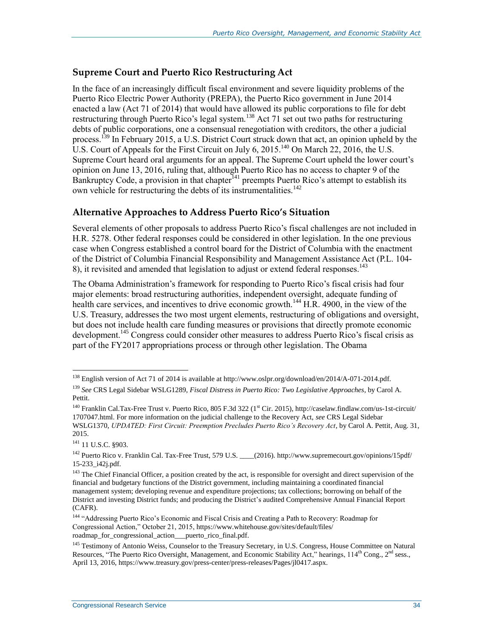#### **Supreme Court and Puerto Rico Restructuring Act**

In the face of an increasingly difficult fiscal environment and severe liquidity problems of the Puerto Rico Electric Power Authority (PREPA), the Puerto Rico government in June 2014 enacted a law (Act 71 of 2014) that would have allowed its public corporations to file for debt restructuring through Puerto Rico's legal system.<sup>138</sup> Act 71 set out two paths for restructuring debts of public corporations, one a consensual renegotiation with creditors, the other a judicial process.<sup>139</sup> In February 2015, a U.S. District Court struck down that act, an opinion upheld by the U.S. Court of Appeals for the First Circuit on July 6, 2015.<sup>140</sup> On March 22, 2016, the U.S. Supreme Court heard oral arguments for an appeal. The Supreme Court upheld the lower court's opinion on June 13, 2016, ruling that, although Puerto Rico has no access to chapter 9 of the Bankruptcy Code, a provision in that chapter<sup>141</sup> preempts Puerto Rico's attempt to establish its own vehicle for restructuring the debts of its instrumentalities.<sup>142</sup>

#### **Alternative Approaches to Address Puerto Rico's Situation**

Several elements of other proposals to address Puerto Rico's fiscal challenges are not included in H.R. 5278. Other federal responses could be considered in other legislation. In the one previous case when Congress established a control board for the District of Columbia with the enactment of the District of Columbia Financial Responsibility and Management Assistance Act [\(P.L. 104-](http://www.congress.gov/cgi-lis/bdquery/R?d104:FLD002:@1(104+8)) [8\)](http://www.congress.gov/cgi-lis/bdquery/R?d104:FLD002:@1(104+8)), it revisited and amended that legislation to adjust or extend federal responses.<sup>143</sup>

The Obama Administration's framework for responding to Puerto Rico's fiscal crisis had four major elements: broad restructuring authorities, independent oversight, adequate funding of health care services, and incentives to drive economic growth.<sup>144</sup> H.R. 4900, in the view of the U.S. Treasury, addresses the two most urgent elements, restructuring of obligations and oversight, but does not include health care funding measures or provisions that directly promote economic development.<sup>145</sup> Congress could consider other measures to address Puerto Rico's fiscal crisis as part of the FY2017 appropriations process or through other legislation. The Obama

<sup>138</sup> English version of Act 71 of 2014 is available at http://www.oslpr.org/download/en/2014/A-071-2014.pdf.

<sup>139</sup> *See* CRS Legal Sidebar WSLG1289, *Fiscal Distress in Puerto Rico: Two Legislative Approaches*, by Carol A. Pettit.

<sup>&</sup>lt;sup>140</sup> Franklin Cal.Tax-Free Trust v. Puerto Rico, 805 F.3d 322 (1<sup>st</sup> Cir. 2015), http://caselaw.findlaw.com/us-1st-circuit/ 1707047.html. For more information on the judicial challenge to the Recovery Act, *see* CRS Legal Sidebar WSLG1370, *UPDATED: First Circuit: Preemption Precludes Puerto Rico's Recovery Act*, by Carol A. Pettit, Aug. 31, 2015.

<sup>&</sup>lt;sup>141</sup> 11 U.S.C. §903.

<sup>&</sup>lt;sup>142</sup> Puerto Rico v. Franklin Cal. Tax-Free Trust, 579 U.S. \_\_\_\_(2016). http://www.supremecourt.gov/opinions/15pdf/ 15-233\_i42j.pdf.

<sup>&</sup>lt;sup>143</sup> The Chief Financial Officer, a position created by the act, is responsible for oversight and direct supervision of the financial and budgetary functions of the District government, including maintaining a coordinated financial management system; developing revenue and expenditure projections; tax collections; borrowing on behalf of the District and investing District funds; and producing the District's audited Comprehensive Annual Financial Report (CAFR).

<sup>144</sup> "Addressing Puerto Rico's Economic and Fiscal Crisis and Creating a Path to Recovery: Roadmap for Congressional Action," October 21, 2015, https://www.whitehouse.gov/sites/default/files/ roadmap\_for\_congressional\_action\_\_\_puerto\_rico\_final.pdf.

<sup>&</sup>lt;sup>145</sup> Testimony of Antonio Weiss, Counselor to the Treasury Secretary, in U.S. Congress, House Committee on Natural Resources, "The Puerto Rico Oversight, Management, and Economic Stability Act," hearings, 114<sup>th</sup> Cong., 2<sup>nd</sup> sess., April 13, 2016, https://www.treasury.gov/press-center/press-releases/Pages/jl0417.aspx.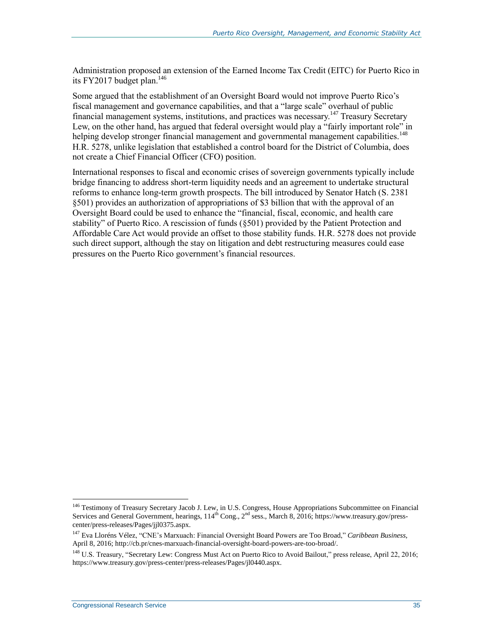Administration proposed an extension of the Earned Income Tax Credit (EITC) for Puerto Rico in its FY2017 budget plan.<sup>146</sup>

Some argued that the establishment of an Oversight Board would not improve Puerto Rico's fiscal management and governance capabilities, and that a "large scale" overhaul of public financial management systems, institutions, and practices was necessary.<sup>147</sup> Treasury Secretary Lew, on the other hand, has argued that federal oversight would play a "fairly important role" in helping develop stronger financial management and governmental management capabilities.<sup>148</sup> [H.R. 5278,](http://www.congress.gov/cgi-lis/bdquery/z?d114:H.R.5278:) unlike legislation that established a control board for the District of Columbia, does not create a Chief Financial Officer (CFO) position.

International responses to fiscal and economic crises of sovereign governments typically include bridge financing to address short-term liquidity needs and an agreement to undertake structural reforms to enhance long-term growth prospects. The bill introduced by Senator Hatch (S. 2381 §501) provides an authorization of appropriations of \$3 billion that with the approval of an Oversight Board could be used to enhance the "financial, fiscal, economic, and health care stability" of Puerto Rico. A rescission of funds (§501) provided by the Patient Protection and Affordable Care Act would provide an offset to those stability funds. [H.R. 5278](http://www.congress.gov/cgi-lis/bdquery/z?d114:H.R.5278:) does not provide such direct support, although the stay on litigation and debt restructuring measures could ease pressures on the Puerto Rico government's financial resources.

<sup>146</sup> Testimony of Treasury Secretary Jacob J. Lew, in U.S. Congress, House Appropriations Subcommittee on Financial Services and General Government, hearings, 114<sup>th</sup> Cong., 2<sup>nd</sup> sess., March 8, 2016; https://www.treasury.gov/presscenter/press-releases/Pages/jjl0375.aspx.

<sup>147</sup> Eva Lloréns Vélez, "CNE's Marxuach: Financial Oversight Board Powers are Too Broad," *Caribbean Business*, April 8, 2016; http://cb.pr/cnes-marxuach-financial-oversight-board-powers-are-too-broad/.

<sup>&</sup>lt;sup>148</sup> U.S. Treasury, "Secretary Lew: Congress Must Act on Puerto Rico to Avoid Bailout," press release, April 22, 2016; https://www.treasury.gov/press-center/press-releases/Pages/jl0440.aspx.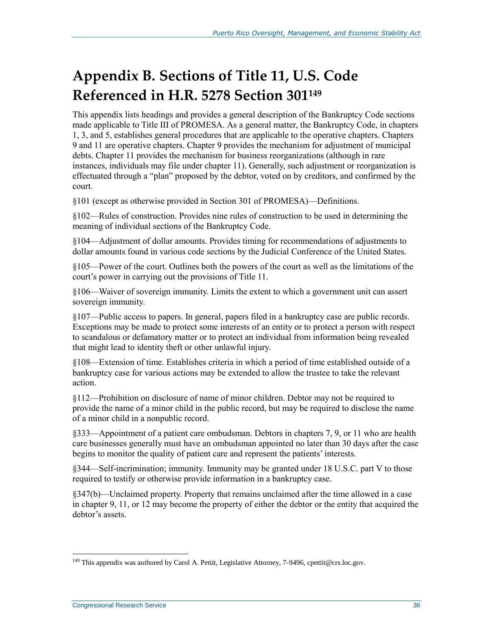## <span id="page-40-0"></span>**Appendix B. Sections of Title 11, U.S. Code Referenced in H.R. 5278 Section 301<sup>149</sup>**

This appendix lists headings and provides a general description of the Bankruptcy Code sections made applicable to Title III of PROMESA. As a general matter, the Bankruptcy Code, in chapters 1, 3, and 5, establishes general procedures that are applicable to the operative chapters. Chapters 9 and 11 are operative chapters. Chapter 9 provides the mechanism for adjustment of municipal debts. Chapter 11 provides the mechanism for business reorganizations (although in rare instances, individuals may file under chapter 11). Generally, such adjustment or reorganization is effectuated through a "plan" proposed by the debtor, voted on by creditors, and confirmed by the court.

§101 (except as otherwise provided in Section 301 of PROMESA)—Definitions.

§102—Rules of construction. Provides nine rules of construction to be used in determining the meaning of individual sections of the Bankruptcy Code.

§104—Adjustment of dollar amounts. Provides timing for recommendations of adjustments to dollar amounts found in various code sections by the Judicial Conference of the United States.

§105—Power of the court. Outlines both the powers of the court as well as the limitations of the court's power in carrying out the provisions of Title 11.

§106—Waiver of sovereign immunity. Limits the extent to which a government unit can assert sovereign immunity.

§107—Public access to papers. In general, papers filed in a bankruptcy case are public records. Exceptions may be made to protect some interests of an entity or to protect a person with respect to scandalous or defamatory matter or to protect an individual from information being revealed that might lead to identity theft or other unlawful injury.

§108—Extension of time. Establishes criteria in which a period of time established outside of a bankruptcy case for various actions may be extended to allow the trustee to take the relevant action.

§112—Prohibition on disclosure of name of minor children. Debtor may not be required to provide the name of a minor child in the public record, but may be required to disclose the name of a minor child in a nonpublic record.

§333—Appointment of a patient care ombudsman. Debtors in chapters 7, 9, or 11 who are health care businesses generally must have an ombudsman appointed no later than 30 days after the case begins to monitor the quality of patient care and represent the patients' interests.

§344—Self-incrimination; immunity. Immunity may be granted under 18 U.S.C. part V to those required to testify or otherwise provide information in a bankruptcy case.

§347(b)—Unclaimed property. Property that remains unclaimed after the time allowed in a case in chapter 9, 11, or 12 may become the property of either the debtor or the entity that acquired the debtor's assets.

<sup>&</sup>lt;sup>149</sup> This appendix was authored by Carol A. Pettit, Legislative Attorney, 7-9496, cpettit@crs.loc.gov.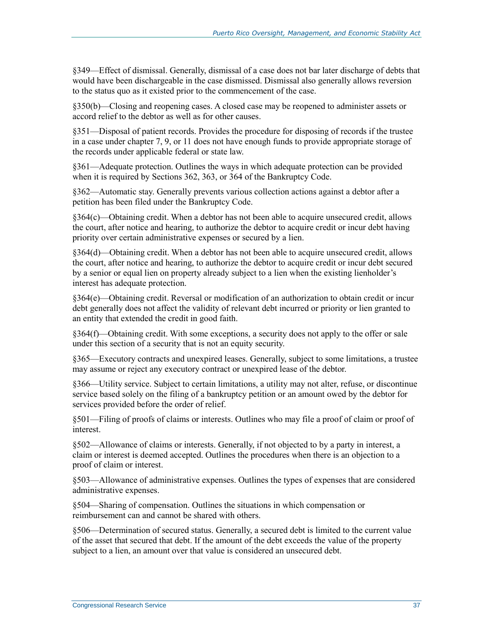§349—Effect of dismissal. Generally, dismissal of a case does not bar later discharge of debts that would have been dischargeable in the case dismissed. Dismissal also generally allows reversion to the status quo as it existed prior to the commencement of the case.

§350(b)—Closing and reopening cases. A closed case may be reopened to administer assets or accord relief to the debtor as well as for other causes.

§351—Disposal of patient records. Provides the procedure for disposing of records if the trustee in a case under chapter 7, 9, or 11 does not have enough funds to provide appropriate storage of the records under applicable federal or state law.

§361—Adequate protection. Outlines the ways in which adequate protection can be provided when it is required by Sections 362, 363, or 364 of the Bankruptcy Code.

§362—Automatic stay. Generally prevents various collection actions against a debtor after a petition has been filed under the Bankruptcy Code.

§364(c)—Obtaining credit. When a debtor has not been able to acquire unsecured credit, allows the court, after notice and hearing, to authorize the debtor to acquire credit or incur debt having priority over certain administrative expenses or secured by a lien.

§364(d)—Obtaining credit. When a debtor has not been able to acquire unsecured credit, allows the court, after notice and hearing, to authorize the debtor to acquire credit or incur debt secured by a senior or equal lien on property already subject to a lien when the existing lienholder's interest has adequate protection.

§364(e)—Obtaining credit. Reversal or modification of an authorization to obtain credit or incur debt generally does not affect the validity of relevant debt incurred or priority or lien granted to an entity that extended the credit in good faith.

§364(f)—Obtaining credit. With some exceptions, a security does not apply to the offer or sale under this section of a security that is not an equity security.

§365—Executory contracts and unexpired leases. Generally, subject to some limitations, a trustee may assume or reject any executory contract or unexpired lease of the debtor.

§366—Utility service. Subject to certain limitations, a utility may not alter, refuse, or discontinue service based solely on the filing of a bankruptcy petition or an amount owed by the debtor for services provided before the order of relief.

§501—Filing of proofs of claims or interests. Outlines who may file a proof of claim or proof of interest.

§502—Allowance of claims or interests. Generally, if not objected to by a party in interest, a claim or interest is deemed accepted. Outlines the procedures when there is an objection to a proof of claim or interest.

§503—Allowance of administrative expenses. Outlines the types of expenses that are considered administrative expenses.

§504—Sharing of compensation. Outlines the situations in which compensation or reimbursement can and cannot be shared with others.

§506—Determination of secured status. Generally, a secured debt is limited to the current value of the asset that secured that debt. If the amount of the debt exceeds the value of the property subject to a lien, an amount over that value is considered an unsecured debt.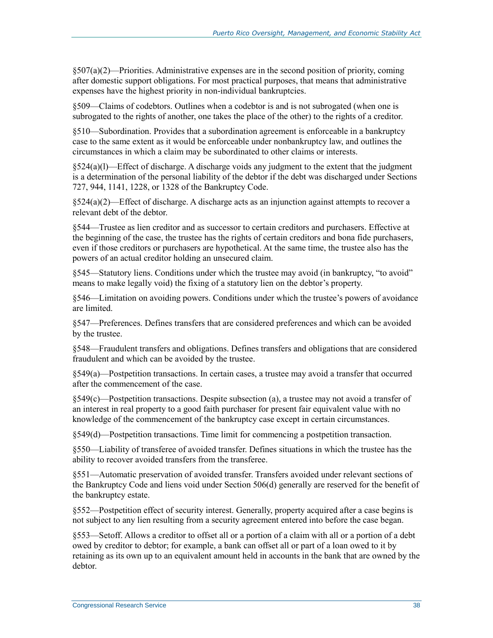§507(a)(2)—Priorities. Administrative expenses are in the second position of priority, coming after domestic support obligations. For most practical purposes, that means that administrative expenses have the highest priority in non-individual bankruptcies.

§509—Claims of codebtors. Outlines when a codebtor is and is not subrogated (when one is subrogated to the rights of another, one takes the place of the other) to the rights of a creditor.

§510—Subordination. Provides that a subordination agreement is enforceable in a bankruptcy case to the same extent as it would be enforceable under nonbankruptcy law, and outlines the circumstances in which a claim may be subordinated to other claims or interests.

 $§524(a)(1)$ —Effect of discharge. A discharge voids any judgment to the extent that the judgment is a determination of the personal liability of the debtor if the debt was discharged under Sections 727, 944, 1141, 1228, or 1328 of the Bankruptcy Code.

 $\S524(a)(2)$ —Effect of discharge. A discharge acts as an injunction against attempts to recover a relevant debt of the debtor.

§544—Trustee as lien creditor and as successor to certain creditors and purchasers. Effective at the beginning of the case, the trustee has the rights of certain creditors and bona fide purchasers, even if those creditors or purchasers are hypothetical. At the same time, the trustee also has the powers of an actual creditor holding an unsecured claim.

§545—Statutory liens. Conditions under which the trustee may avoid (in bankruptcy, "to avoid" means to make legally void) the fixing of a statutory lien on the debtor's property.

§546—Limitation on avoiding powers. Conditions under which the trustee's powers of avoidance are limited.

§547—Preferences. Defines transfers that are considered preferences and which can be avoided by the trustee.

§548—Fraudulent transfers and obligations. Defines transfers and obligations that are considered fraudulent and which can be avoided by the trustee.

§549(a)—Postpetition transactions. In certain cases, a trustee may avoid a transfer that occurred after the commencement of the case.

§549(c)—Postpetition transactions. Despite subsection (a), a trustee may not avoid a transfer of an interest in real property to a good faith purchaser for present fair equivalent value with no knowledge of the commencement of the bankruptcy case except in certain circumstances.

§549(d)—Postpetition transactions. Time limit for commencing a postpetition transaction.

§550—Liability of transferee of avoided transfer. Defines situations in which the trustee has the ability to recover avoided transfers from the transferee.

§551—Automatic preservation of avoided transfer. Transfers avoided under relevant sections of the Bankruptcy Code and liens void under Section 506(d) generally are reserved for the benefit of the bankruptcy estate.

§552—Postpetition effect of security interest. Generally, property acquired after a case begins is not subject to any lien resulting from a security agreement entered into before the case began.

§553—Setoff. Allows a creditor to offset all or a portion of a claim with all or a portion of a debt owed by creditor to debtor; for example, a bank can offset all or part of a loan owed to it by retaining as its own up to an equivalent amount held in accounts in the bank that are owned by the debtor.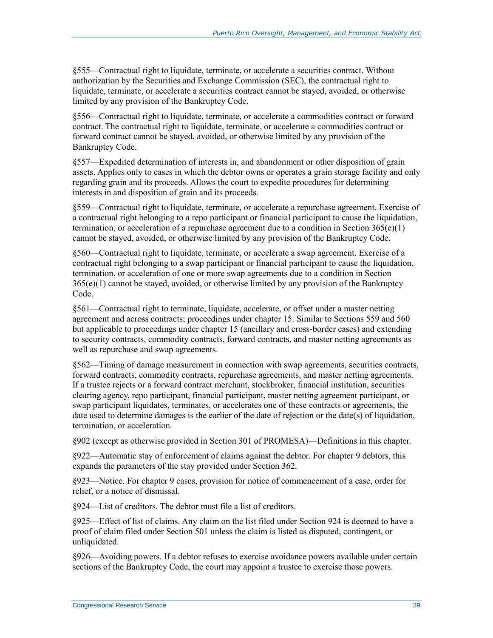§555—Contractual right to liquidate, terminate, or accelerate a securities contract. Without authorization by the Securities and Exchange Commission (SEC), the contractual right to liquidate, terminate, or accelerate a securities contract cannot be stayed, avoided, or otherwise limited by any provision of the Bankruptcy Code.

§556—Contractual right to liquidate, terminate, or accelerate a commodities contract or forward contract. The contractual right to liquidate, terminate, or accelerate a commodities contract or forward contract cannot be stayed, avoided, or otherwise limited by any provision of the Bankruptcy Code.

§557—Expedited determination of interests in, and abandonment or other disposition of grain assets. Applies only to cases in which the debtor owns or operates a grain storage facility and only regarding grain and its proceeds. Allows the court to expedite procedures for determining interests in and disposition of grain and its proceeds.

§559—Contractual right to liquidate, terminate, or accelerate a repurchase agreement. Exercise of a contractual right belonging to a repo participant or financial participant to cause the liquidation, termination, or acceleration of a repurchase agreement due to a condition in Section  $365(e)(1)$ cannot be stayed, avoided, or otherwise limited by any provision of the Bankruptcy Code.

§560—Contractual right to liquidate, terminate, or accelerate a swap agreement. Exercise of a contractual right belonging to a swap participant or financial participant to cause the liquidation, termination, or acceleration of one or more swap agreements due to a condition in Section  $365(e)(1)$  cannot be stayed, avoided, or otherwise limited by any provision of the Bankruptcy Code.

§561—Contractual right to terminate, liquidate, accelerate, or offset under a master netting agreement and across contracts; proceedings under chapter 15. Similar to Sections 559 and 560 but applicable to proceedings under chapter 15 (ancillary and cross-border cases) and extending to security contracts, commodity contracts, forward contracts, and master netting agreements as well as repurchase and swap agreements.

§562—Timing of damage measurement in connection with swap agreements, securities contracts, forward contracts, commodity contracts, repurchase agreements, and master netting agreements. If a trustee rejects or a forward contract merchant, stockbroker, financial institution, securities clearing agency, repo participant, financial participant, master netting agreement participant, or swap participant liquidates, terminates, or accelerates one of these contracts or agreements, the date used to determine damages is the earlier of the date of rejection or the date(s) of liquidation, termination, or acceleration.

§902 (except as otherwise provided in Section 301 of PROMESA)—Definitions in this chapter.

§922—Automatic stay of enforcement of claims against the debtor. For chapter 9 debtors, this expands the parameters of the stay provided under Section 362.

§923—Notice. For chapter 9 cases, provision for notice of commencement of a case, order for relief, or a notice of dismissal.

§924—List of creditors. The debtor must file a list of creditors.

§925—Effect of list of claims. Any claim on the list filed under Section 924 is deemed to have a proof of claim filed under Section 501 unless the claim is listed as disputed, contingent, or unliquidated.

§926—Avoiding powers. If a debtor refuses to exercise avoidance powers available under certain sections of the Bankruptcy Code, the court may appoint a trustee to exercise those powers.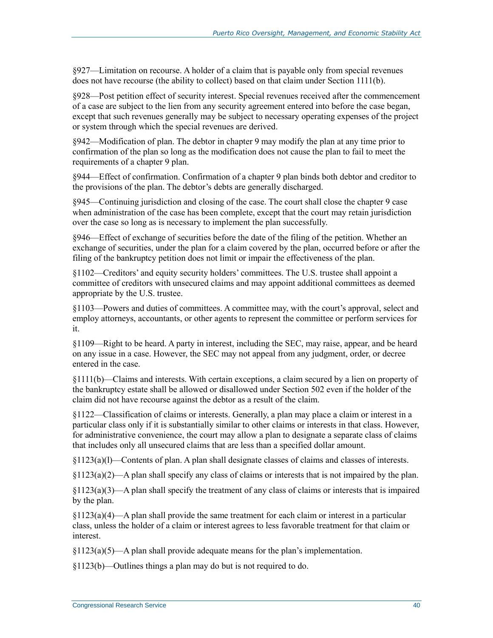§927—Limitation on recourse. A holder of a claim that is payable only from special revenues does not have recourse (the ability to collect) based on that claim under Section 1111(b).

§928—Post petition effect of security interest. Special revenues received after the commencement of a case are subject to the lien from any security agreement entered into before the case began, except that such revenues generally may be subject to necessary operating expenses of the project or system through which the special revenues are derived.

§942—Modification of plan. The debtor in chapter 9 may modify the plan at any time prior to confirmation of the plan so long as the modification does not cause the plan to fail to meet the requirements of a chapter 9 plan.

§944—Effect of confirmation. Confirmation of a chapter 9 plan binds both debtor and creditor to the provisions of the plan. The debtor's debts are generally discharged.

§945—Continuing jurisdiction and closing of the case. The court shall close the chapter 9 case when administration of the case has been complete, except that the court may retain jurisdiction over the case so long as is necessary to implement the plan successfully.

§946—Effect of exchange of securities before the date of the filing of the petition. Whether an exchange of securities, under the plan for a claim covered by the plan, occurred before or after the filing of the bankruptcy petition does not limit or impair the effectiveness of the plan.

§1102—Creditors' and equity security holders' committees. The U.S. trustee shall appoint a committee of creditors with unsecured claims and may appoint additional committees as deemed appropriate by the U.S. trustee.

§1103—Powers and duties of committees. A committee may, with the court's approval, select and employ attorneys, accountants, or other agents to represent the committee or perform services for it.

§1109—Right to be heard. A party in interest, including the SEC, may raise, appear, and be heard on any issue in a case. However, the SEC may not appeal from any judgment, order, or decree entered in the case.

§1111(b)—Claims and interests. With certain exceptions, a claim secured by a lien on property of the bankruptcy estate shall be allowed or disallowed under Section 502 even if the holder of the claim did not have recourse against the debtor as a result of the claim.

§1122—Classification of claims or interests. Generally, a plan may place a claim or interest in a particular class only if it is substantially similar to other claims or interests in that class. However, for administrative convenience, the court may allow a plan to designate a separate class of claims that includes only all unsecured claims that are less than a specified dollar amount.

§1123(a)(l)—Contents of plan. A plan shall designate classes of claims and classes of interests.

§1123(a)(2)—A plan shall specify any class of claims or interests that is not impaired by the plan.

§1123(a)(3)—A plan shall specify the treatment of any class of claims or interests that is impaired by the plan.

 $\S1123(a)(4)$ —A plan shall provide the same treatment for each claim or interest in a particular class, unless the holder of a claim or interest agrees to less favorable treatment for that claim or interest.

 $\frac{123(a)(5)}{a}$  han shall provide adequate means for the plan's implementation.

§1123(b)—Outlines things a plan may do but is not required to do.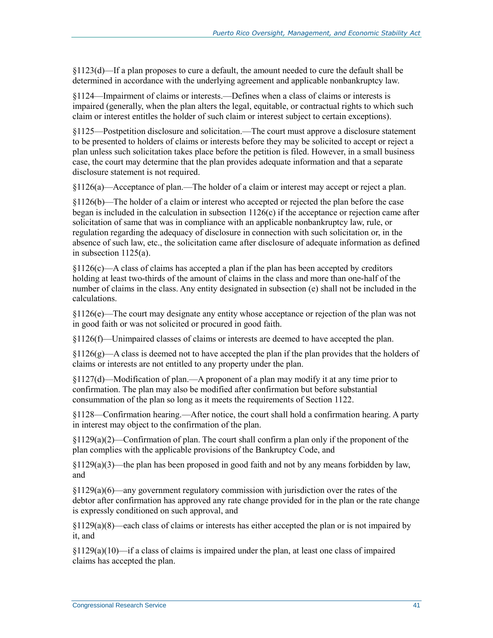§1123(d)—If a plan proposes to cure a default, the amount needed to cure the default shall be determined in accordance with the underlying agreement and applicable nonbankruptcy law.

§1124—Impairment of claims or interests.—Defines when a class of claims or interests is impaired (generally, when the plan alters the legal, equitable, or contractual rights to which such claim or interest entitles the holder of such claim or interest subject to certain exceptions).

§1125—Postpetition disclosure and solicitation.—The court must approve a disclosure statement to be presented to holders of claims or interests before they may be solicited to accept or reject a plan unless such solicitation takes place before the petition is filed. However, in a small business case, the court may determine that the plan provides adequate information and that a separate disclosure statement is not required.

§1126(a)—Acceptance of plan.—The holder of a claim or interest may accept or reject a plan.

§1126(b)—The holder of a claim or interest who accepted or rejected the plan before the case began is included in the calculation in subsection  $1126(c)$  if the acceptance or rejection came after solicitation of same that was in compliance with an applicable nonbankruptcy law, rule, or regulation regarding the adequacy of disclosure in connection with such solicitation or, in the absence of such law, etc., the solicitation came after disclosure of adequate information as defined in subsection 1125(a).

§1126(c)—A class of claims has accepted a plan if the plan has been accepted by creditors holding at least two-thirds of the amount of claims in the class and more than one-half of the number of claims in the class. Any entity designated in subsection (e) shall not be included in the calculations.

§1126(e)—The court may designate any entity whose acceptance or rejection of the plan was not in good faith or was not solicited or procured in good faith.

§1126(f)—Unimpaired classes of claims or interests are deemed to have accepted the plan.

 $§1126(g)$ —A class is deemed not to have accepted the plan if the plan provides that the holders of claims or interests are not entitled to any property under the plan.

§1127(d)—Modification of plan.—A proponent of a plan may modify it at any time prior to confirmation. The plan may also be modified after confirmation but before substantial consummation of the plan so long as it meets the requirements of Section 1122.

§1128—Confirmation hearing.—After notice, the court shall hold a confirmation hearing. A party in interest may object to the confirmation of the plan.

 $\S1129(a)(2)$ —Confirmation of plan. The court shall confirm a plan only if the proponent of the plan complies with the applicable provisions of the Bankruptcy Code, and

§1129(a)(3)—the plan has been proposed in good faith and not by any means forbidden by law, and

§1129(a)(6)—any government regulatory commission with jurisdiction over the rates of the debtor after confirmation has approved any rate change provided for in the plan or the rate change is expressly conditioned on such approval, and

§1129(a)(8)—each class of claims or interests has either accepted the plan or is not impaired by it, and

 $\frac{129(a)(10)}{12}$  if a class of claims is impaired under the plan, at least one class of impaired claims has accepted the plan.